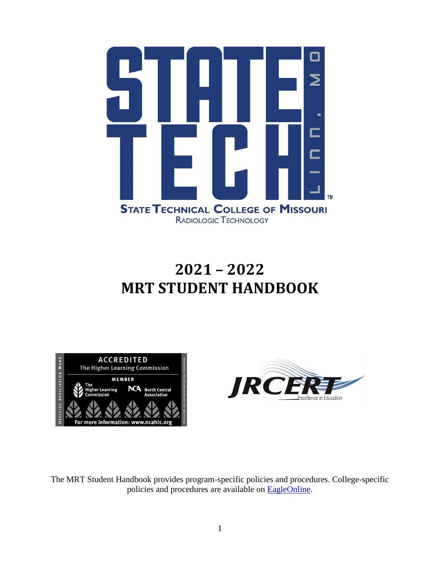

# **2021 – 2022 MRT STUDENT HANDBOOK**





The MRT Student Handbook provides program-specific policies and procedures. College-specific policies and procedures are available on [EagleOnline.](https://eagleonline.statetechmo.edu/ICS/Academics/My_Academic_Info.jnz?portlet=College_Catalogs)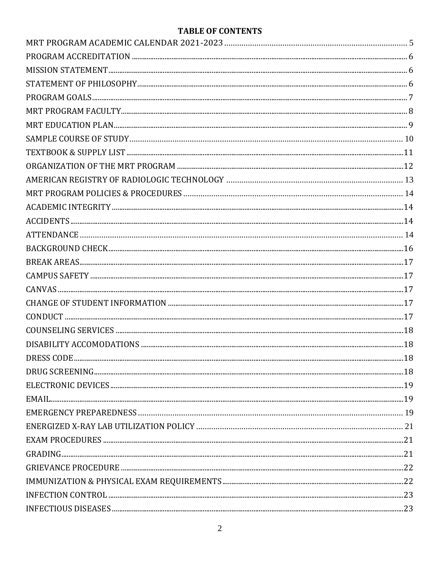### **TABLE OF CONTENTS**

| <b>DRESS CODE</b> |  |
|-------------------|--|
|                   |  |
|                   |  |
|                   |  |
|                   |  |
|                   |  |
|                   |  |
|                   |  |
|                   |  |
|                   |  |
|                   |  |
|                   |  |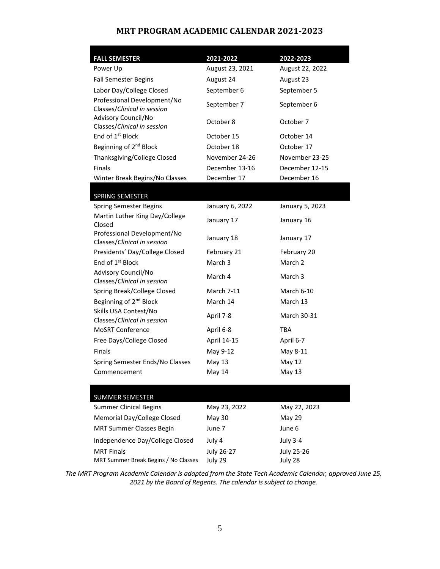#### **MRT PROGRAM ACADEMIC CALENDAR 2021-2023**

<span id="page-4-0"></span>

| <b>FALL SEMESTER</b>                                       | 2021-2022       | 2022-2023         |
|------------------------------------------------------------|-----------------|-------------------|
| Power Up                                                   | August 23, 2021 | August 22, 2022   |
| <b>Fall Semester Begins</b>                                | August 24       | August 23         |
| Labor Day/College Closed                                   | September 6     | September 5       |
| Professional Development/No<br>Classes/Clinical in session | September 7     | September 6       |
| Advisory Council/No<br>Classes/Clinical in session         | October 8       | October 7         |
| End of 1 <sup>st</sup> Block                               | October 15      | October 14        |
| Beginning of 2 <sup>nd</sup> Block                         | October 18      | October 17        |
| Thanksgiving/College Closed                                | November 24-26  | November 23-25    |
| <b>Finals</b>                                              | December 13-16  | December 12-15    |
| Winter Break Begins/No Classes                             | December 17     | December 16       |
| SPRING SEMESTER                                            |                 |                   |
| <b>Spring Semester Begins</b>                              | January 6, 2022 | January 5, 2023   |
| Martin Luther King Day/College                             |                 |                   |
| Closed                                                     | January 17      | January 16        |
| Professional Development/No<br>Classes/Clinical in session | January 18      | January 17        |
| Presidents' Day/College Closed                             | February 21     | February 20       |
| End of 1 <sup>st</sup> Block                               | March 3         | March 2           |
| Advisory Council/No<br>Classes/Clinical in session         | March 4         | March 3           |
| Spring Break/College Closed                                | March 7-11      | March 6-10        |
| Beginning of 2 <sup>nd</sup> Block                         | March 14        | March 13          |
| Skills USA Contest/No<br>Classes/Clinical in session       | April 7-8       | March 30-31       |
| <b>MoSRT Conference</b>                                    | April 6-8       | TBA               |
| Free Days/College Closed                                   | April 14-15     | April 6-7         |
| <b>Finals</b>                                              | May 9-12        | May 8-11          |
| Spring Semester Ends/No Classes                            | May 13          | <b>May 12</b>     |
| Commencement                                               | May 14          | <b>May 13</b>     |
|                                                            |                 |                   |
| <b>SUMMER SEMESTER</b>                                     |                 |                   |
| <b>Summer Clinical Begins</b>                              | May 23, 2022    | May 22, 2023      |
| Memorial Day/College Closed                                | <b>May 30</b>   | May 29            |
| <b>MRT Summer Classes Begin</b>                            | June 7          | June 6            |
| Independence Day/College Closed                            | July 4          | <b>July 3-4</b>   |
| <b>MRT Finals</b>                                          | July 26-27      | <b>July 25-26</b> |
| MRT Summer Break Begins / No Classes                       | July 29         | July 28           |

*The MRT Program Academic Calendar is adapted from the State Tech Academic Calendar, approved June 25, 2021 by the Board of Regents. The calendar is subject to change.*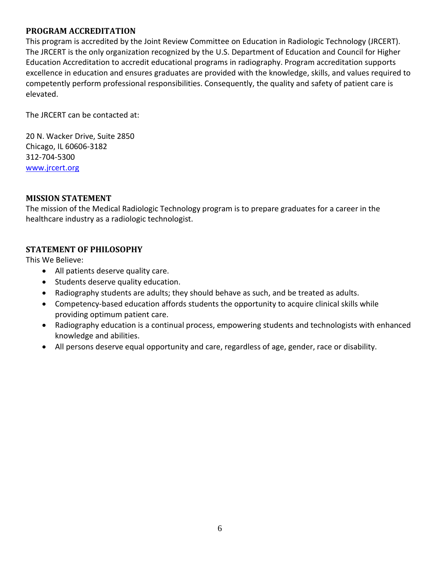#### <span id="page-5-0"></span>**PROGRAM ACCREDITATION**

This program is accredited by the Joint Review Committee on Education in Radiologic Technology (JRCERT). The JRCERT is the only organization recognized by the U.S. Department of Education and Council for Higher Education Accreditation to accredit educational programs in radiography. Program accreditation supports excellence in education and ensures graduates are provided with the knowledge, skills, and values required to competently perform professional responsibilities. Consequently, the quality and safety of patient care is elevated.

The JRCERT can be contacted at:

20 N. Wacker Drive, Suite 2850 Chicago, IL 60606-3182 312-704-5300 [www.jrcert.org](http://www.jrcert.org/)

#### <span id="page-5-1"></span>**MISSION STATEMENT**

The mission of the Medical Radiologic Technology program is to prepare graduates for a career in the healthcare industry as a radiologic technologist.

#### <span id="page-5-2"></span>**STATEMENT OF PHILOSOPHY**

This We Believe:

- All patients deserve quality care.
- Students deserve quality education.
- Radiography students are adults; they should behave as such, and be treated as adults.
- Competency-based education affords students the opportunity to acquire clinical skills while providing optimum patient care.
- Radiography education is a continual process, empowering students and technologists with enhanced knowledge and abilities.
- All persons deserve equal opportunity and care, regardless of age, gender, race or disability.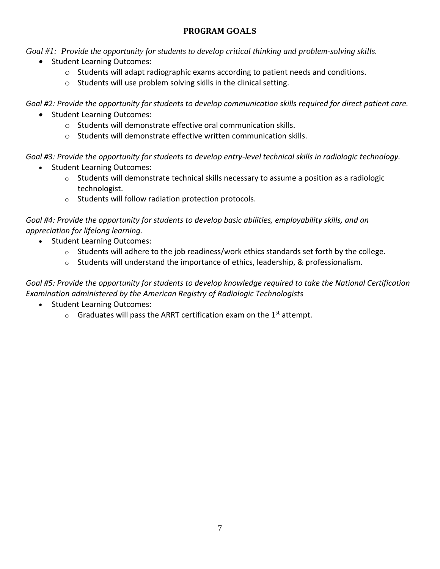#### **PROGRAM GOALS**

<span id="page-6-0"></span>*Goal #1: Provide the opportunity for students to develop critical thinking and problem-solving skills.*

- Student Learning Outcomes:
	- $\circ$  Students will adapt radiographic exams according to patient needs and conditions.
	- o Students will use problem solving skills in the clinical setting.

*Goal #2: Provide the opportunity for students to develop communication skills required for direct patient care.*

- Student Learning Outcomes:
	- o Students will demonstrate effective oral communication skills.
	- $\circ$  Students will demonstrate effective written communication skills.

*Goal #3: Provide the opportunity for students to develop entry-level technical skills in radiologic technology.*

- Student Learning Outcomes:
	- o Students will demonstrate technical skills necessary to assume a position as a radiologic technologist.
	- o Students will follow radiation protection protocols.

#### *Goal #4: Provide the opportunity for students to develop basic abilities, employability skills, and an appreciation for lifelong learning.*

- Student Learning Outcomes:
	- $\circ$  Students will adhere to the job readiness/work ethics standards set forth by the college.
	- $\circ$  Students will understand the importance of ethics, leadership, & professionalism.

*Goal #5: Provide the opportunity for students to develop knowledge required to take the National Certification Examination administered by the American Registry of Radiologic Technologists*

- Student Learning Outcomes:
	- $\circ$  Graduates will pass the ARRT certification exam on the 1<sup>st</sup> attempt.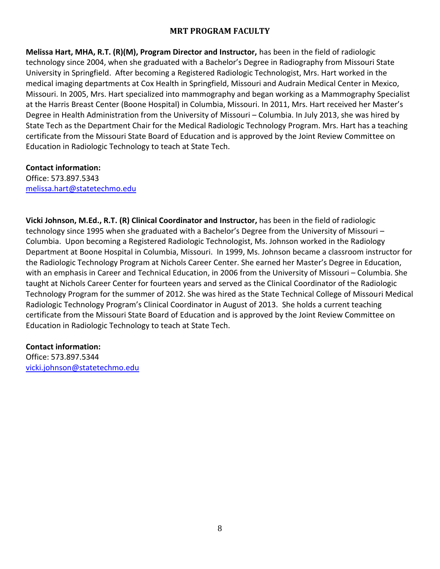#### **MRT PROGRAM FACULTY**

<span id="page-7-0"></span>**Melissa Hart, MHA, R.T. (R)(M), Program Director and Instructor,** has been in the field of radiologic technology since 2004, when she graduated with a Bachelor's Degree in Radiography from Missouri State University in Springfield. After becoming a Registered Radiologic Technologist, Mrs. Hart worked in the medical imaging departments at Cox Health in Springfield, Missouri and Audrain Medical Center in Mexico, Missouri. In 2005, Mrs. Hart specialized into mammography and began working as a Mammography Specialist at the Harris Breast Center (Boone Hospital) in Columbia, Missouri. In 2011, Mrs. Hart received her Master's Degree in Health Administration from the University of Missouri – Columbia. In July 2013, she was hired by State Tech as the Department Chair for the Medical Radiologic Technology Program. Mrs. Hart has a teaching certificate from the Missouri State Board of Education and is approved by the Joint Review Committee on Education in Radiologic Technology to teach at State Tech.

#### **Contact information:**

Office: 573.897.5343 [melissa.hart@statetechmo.edu](mailto:melissa.hart@statetechmo.edu)

**Vicki Johnson, M.Ed., R.T. (R) Clinical Coordinator and Instructor,** has been in the field of radiologic technology since 1995 when she graduated with a Bachelor's Degree from the University of Missouri – Columbia. Upon becoming a Registered Radiologic Technologist, Ms. Johnson worked in the Radiology Department at Boone Hospital in Columbia, Missouri. In 1999, Ms. Johnson became a classroom instructor for the Radiologic Technology Program at Nichols Career Center. She earned her Master's Degree in Education, with an emphasis in Career and Technical Education, in 2006 from the University of Missouri – Columbia. She taught at Nichols Career Center for fourteen years and served as the Clinical Coordinator of the Radiologic Technology Program for the summer of 2012. She was hired as the State Technical College of Missouri Medical Radiologic Technology Program's Clinical Coordinator in August of 2013. She holds a current teaching certificate from the Missouri State Board of Education and is approved by the Joint Review Committee on Education in Radiologic Technology to teach at State Tech.

#### **Contact information:**

Office: 573.897.5344 [vicki.johnson@statetechmo.edu](mailto:vicki.johnson@statetechmo.edu)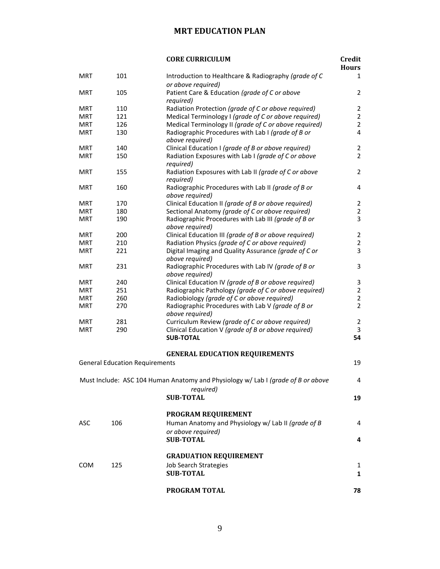#### **MRT EDUCATION PLAN**

<span id="page-8-0"></span>

|            |                                       | <b>CORE CURRICULUM</b>                                                           | <b>Credit</b><br><b>Hours</b> |
|------------|---------------------------------------|----------------------------------------------------------------------------------|-------------------------------|
| <b>MRT</b> | 101                                   | Introduction to Healthcare & Radiography (grade of C                             | 1                             |
|            |                                       | or above required)                                                               |                               |
| <b>MRT</b> | 105                                   | Patient Care & Education (grade of C or above                                    | $\overline{2}$                |
|            |                                       | required)                                                                        |                               |
| <b>MRT</b> | 110                                   | Radiation Protection (grade of C or above required)                              | $\overline{2}$                |
| <b>MRT</b> | 121                                   | Medical Terminology I (grade of C or above required)                             | $\overline{2}$                |
| <b>MRT</b> | 126                                   | Medical Terminology II (grade of C or above required)                            | $\overline{2}$                |
| <b>MRT</b> | 130                                   | Radiographic Procedures with Lab I (grade of B or                                | 4                             |
|            |                                       | above required)                                                                  |                               |
| <b>MRT</b> | 140                                   | Clinical Education I (grade of B or above required)                              | $\overline{2}$                |
| <b>MRT</b> | 150                                   | Radiation Exposures with Lab I (grade of C or above                              | $\overline{2}$                |
|            |                                       | required)                                                                        |                               |
| <b>MRT</b> | 155                                   | Radiation Exposures with Lab II (grade of C or above                             | $\overline{2}$                |
|            |                                       | required)                                                                        |                               |
| <b>MRT</b> | 160                                   | Radiographic Procedures with Lab II (grade of B or                               | 4                             |
|            |                                       | above required)                                                                  |                               |
| <b>MRT</b> | 170                                   | Clinical Education II (grade of B or above required)                             | $\overline{2}$                |
| <b>MRT</b> | 180                                   | Sectional Anatomy (grade of C or above required)                                 | $\overline{2}$                |
| <b>MRT</b> | 190                                   | Radiographic Procedures with Lab III (grade of B or                              | 3                             |
|            |                                       | above required)                                                                  |                               |
| <b>MRT</b> | 200                                   | Clinical Education III (grade of B or above required)                            | $\overline{2}$                |
| <b>MRT</b> | 210                                   | Radiation Physics (grade of C or above required)                                 | $\overline{2}$                |
| <b>MRT</b> | 221                                   | Digital Imaging and Quality Assurance (grade of C or                             | 3                             |
|            |                                       | above required)                                                                  |                               |
| <b>MRT</b> | 231                                   | Radiographic Procedures with Lab IV (grade of B or                               | 3                             |
|            |                                       | above required)                                                                  |                               |
| <b>MRT</b> | 240                                   | Clinical Education IV (grade of B or above required)                             | 3                             |
| <b>MRT</b> | 251                                   | Radiographic Pathology (grade of C or above required)                            | $\overline{2}$                |
| <b>MRT</b> | 260                                   | Radiobiology (grade of C or above required)                                      | $\overline{2}$                |
| <b>MRT</b> | 270                                   | Radiographic Procedures with Lab V (grade of B or                                | $\overline{2}$                |
|            |                                       | above required)                                                                  |                               |
| <b>MRT</b> | 281                                   | Curriculum Review (grade of C or above required)                                 | $\overline{2}$                |
| <b>MRT</b> | 290                                   | Clinical Education V (grade of B or above required)                              | 3                             |
|            |                                       | <b>SUB-TOTAL</b>                                                                 | 54                            |
|            |                                       |                                                                                  |                               |
|            |                                       | <b>GENERAL EDUCATION REQUIREMENTS</b>                                            |                               |
|            | <b>General Education Requirements</b> |                                                                                  | 19                            |
|            |                                       |                                                                                  |                               |
|            |                                       | Must Include: ASC 104 Human Anatomy and Physiology w/ Lab I (grade of B or above | 4                             |
|            |                                       | required)                                                                        |                               |
|            |                                       | <b>SUB-TOTAL</b>                                                                 | 19                            |
|            |                                       |                                                                                  |                               |
|            |                                       | PROGRAM REQUIREMENT                                                              |                               |
| ASC        | 106                                   | Human Anatomy and Physiology w/ Lab II (grade of B                               | 4                             |
|            |                                       | or above required)                                                               |                               |
|            |                                       | <b>SUB-TOTAL</b>                                                                 | 4                             |
|            |                                       |                                                                                  |                               |
|            |                                       | <b>GRADUATION REQUIREMENT</b>                                                    |                               |
| COM        | 125                                   | Job Search Strategies                                                            | 1                             |
|            |                                       | <b>SUB-TOTAL</b>                                                                 | $\mathbf{1}$                  |
|            |                                       |                                                                                  |                               |
|            |                                       | PROGRAM TOTAL                                                                    | 78                            |
|            |                                       |                                                                                  |                               |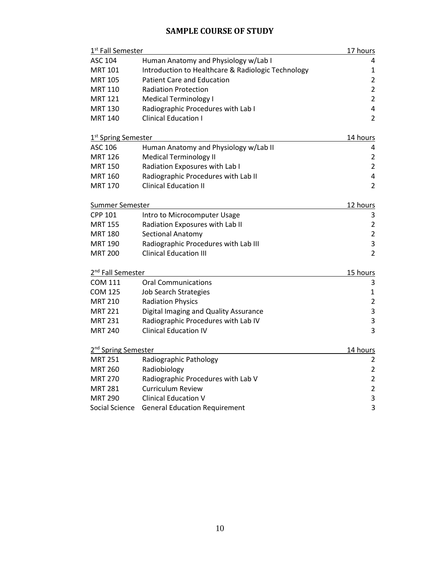### **SAMPLE COURSE OF STUDY**

<span id="page-9-0"></span>

| 1 <sup>st</sup> Fall Semester   |                                                    | 17 hours                |
|---------------------------------|----------------------------------------------------|-------------------------|
| <b>ASC 104</b>                  | Human Anatomy and Physiology w/Lab I               | 4                       |
| <b>MRT 101</b>                  | Introduction to Healthcare & Radiologic Technology | $\mathbf 1$             |
| <b>MRT 105</b>                  | <b>Patient Care and Education</b>                  | $\overline{2}$          |
| <b>MRT 110</b>                  | <b>Radiation Protection</b>                        | $\overline{2}$          |
| <b>MRT 121</b>                  | <b>Medical Terminology I</b>                       | $\overline{2}$          |
| <b>MRT 130</b>                  | Radiographic Procedures with Lab I                 | $\overline{\mathbf{4}}$ |
| <b>MRT 140</b>                  | <b>Clinical Education I</b>                        | $\overline{2}$          |
| 1 <sup>st</sup> Spring Semester |                                                    | 14 hours                |
| ASC 106                         | Human Anatomy and Physiology w/Lab II              | 4                       |
| <b>MRT 126</b>                  | <b>Medical Terminology II</b>                      | $\overline{2}$          |
| <b>MRT 150</b>                  | Radiation Exposures with Lab I                     | $\overline{2}$          |
| <b>MRT 160</b>                  | Radiographic Procedures with Lab II                | $\pmb{4}$               |
| <b>MRT 170</b>                  | <b>Clinical Education II</b>                       | $\overline{2}$          |
| Summer Semester                 |                                                    | 12 hours                |
| <b>CPP 101</b>                  | Intro to Microcomputer Usage                       | 3                       |
| <b>MRT 155</b>                  | Radiation Exposures with Lab II                    | $\overline{2}$          |
| <b>MRT 180</b>                  | Sectional Anatomy                                  | $\mathbf 2$             |
| <b>MRT 190</b>                  | Radiographic Procedures with Lab III               | $\mathsf 3$             |
| <b>MRT 200</b>                  | <b>Clinical Education III</b>                      | $\overline{2}$          |
| 2 <sup>nd</sup> Fall Semester   |                                                    | 15 hours                |
| <b>COM 111</b>                  | <b>Oral Communications</b>                         | 3                       |
| <b>COM 125</b>                  | <b>Job Search Strategies</b>                       | $\mathbf{1}$            |
| <b>MRT 210</b>                  | <b>Radiation Physics</b>                           | $\overline{2}$          |
| <b>MRT 221</b>                  | Digital Imaging and Quality Assurance              | $\mathsf{3}$            |
| <b>MRT 231</b>                  | Radiographic Procedures with Lab IV                | $\mathsf 3$             |
| <b>MRT 240</b>                  | <b>Clinical Education IV</b>                       | 3                       |
| 2 <sup>nd</sup> Spring Semester |                                                    | 14 hours                |
| <b>MRT 251</b>                  | Radiographic Pathology                             | $\overline{2}$          |
| <b>MRT 260</b>                  | Radiobiology                                       | $\overline{2}$          |
| <b>MRT 270</b>                  | Radiographic Procedures with Lab V                 | $\overline{2}$          |
| <b>MRT 281</b>                  | <b>Curriculum Review</b>                           | $\mathbf 2$             |
| <b>MRT 290</b>                  | <b>Clinical Education V</b>                        | $\mathsf 3$             |
| Social Science                  | <b>General Education Requirement</b>               | 3                       |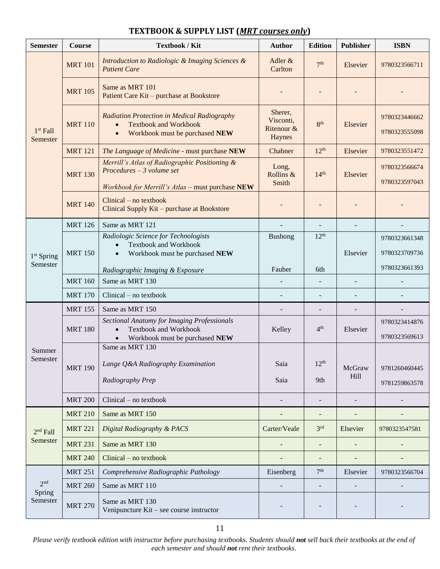| <b>Semester</b>          | Course         | <b>Textbook / Kit</b>                                                                                                             | <b>Author</b>                                | <b>Edition</b>           | <b>Publisher</b>         | <b>ISBN</b>                    |
|--------------------------|----------------|-----------------------------------------------------------------------------------------------------------------------------------|----------------------------------------------|--------------------------|--------------------------|--------------------------------|
|                          | <b>MRT 101</b> | Introduction to Radiologic & Imaging Sciences &<br><b>Patient Care</b>                                                            | Adler &<br>Carlton                           | 7 <sup>th</sup>          | Elsevier                 | 9780323566711                  |
| $1st$ Fall<br>Semester   | <b>MRT 105</b> | Same as MRT 101<br>Patient Care Kit - purchase at Bookstore                                                                       |                                              |                          |                          |                                |
|                          | <b>MRT 110</b> | Radiation Protection in Medical Radiography<br><b>Textbook and Workbook</b><br>Workbook must be purchased NEW                     | Sherer,<br>Visconti,<br>Ritenour &<br>Haynes | 8 <sup>th</sup>          | Elsevier                 | 9780323446662<br>9780323555098 |
|                          | <b>MRT 121</b> | The Language of Medicine - must purchase NEW                                                                                      | Chabner                                      | $12^{th}$                | Elsevier                 | 9780323551472                  |
|                          | <b>MRT 130</b> | Merrill's Atlas of Radiographic Positioning &<br>$Proceedures - 3 volume set$<br>Workbook for Merrill's Atlas - must purchase NEW | Long,<br>Rollins &<br>Smith                  | 14 <sup>th</sup>         | Elsevier                 | 9780323566674<br>9780323597043 |
|                          | <b>MRT 140</b> | $Clinical - no textbook$<br>Clinical Supply Kit - purchase at Bookstore                                                           |                                              |                          |                          |                                |
|                          | <b>MRT 126</b> | Same as MRT 121                                                                                                                   |                                              |                          |                          |                                |
|                          |                | Radiologic Science for Technologists                                                                                              | <b>Bushong</b>                               | 12 <sup>th</sup>         |                          | 9780323661348                  |
| $1st$ Spring<br>Semester | <b>MRT 150</b> | <b>Textbook and Workbook</b><br>Workbook must be purchased NEW                                                                    |                                              |                          | Elsevier                 | 9780323709736                  |
|                          |                | Radiographic Imaging & Exposure                                                                                                   | Fauber                                       | 6th                      |                          | 9780323661393                  |
|                          | <b>MRT 160</b> | Same as MRT 130                                                                                                                   |                                              | $\overline{\phantom{a}}$ | $\overline{\phantom{a}}$ |                                |
|                          | <b>MRT 170</b> | $Clinical - no textbook$                                                                                                          |                                              |                          |                          |                                |
|                          | <b>MRT 155</b> | Same as MRT 150                                                                                                                   |                                              |                          |                          |                                |
|                          | <b>MRT 180</b> | <b>Sectional Anatomy for Imaging Professionals</b><br><b>Textbook and Workbook</b><br>$\bullet$<br>Workbook must be purchased NEW | Kelley                                       | 4 <sup>th</sup>          | Elsevier                 | 9780323414876<br>9780323569613 |
| Summer                   |                | Same as MRT 130                                                                                                                   |                                              |                          |                          |                                |
| Semester                 | <b>MRT 190</b> | Lange Q&A Radiography Examination                                                                                                 | Saia                                         | 12 <sup>th</sup>         | McGraw                   | 9781260460445                  |
|                          |                | Radiography Prep                                                                                                                  | Saia                                         | 9th                      | Hill                     | 9781259863578                  |
|                          | <b>MRT 200</b> | $Clinical - no textbook$                                                                                                          |                                              | $\overline{\phantom{m}}$ | $\overline{\phantom{a}}$ |                                |
|                          | <b>MRT 210</b> | Same as MRT 150                                                                                                                   |                                              |                          |                          |                                |
| $2nd$ Fall               | <b>MRT 221</b> | Digital Radiography & PACS                                                                                                        | Carter/Veale                                 | 3 <sup>rd</sup>          | Elsevier                 | 9780323547581                  |
| Semester                 | <b>MRT 231</b> | Same as MRT 130                                                                                                                   |                                              |                          |                          |                                |
|                          | <b>MRT 240</b> | $Clinical - no textbook$                                                                                                          |                                              | $\overline{\phantom{a}}$ |                          |                                |
|                          | <b>MRT 251</b> | Comprehensive Radiographic Pathology                                                                                              | Eisenberg                                    | 7 <sup>th</sup>          | Elsevier                 | 9780323566704                  |
| 2 <sub>nd</sub>          | <b>MRT 260</b> | Same as MRT 110                                                                                                                   |                                              |                          |                          |                                |
| Spring<br>Semester       | <b>MRT 270</b> | Same as MRT 130<br>Venipuncture Kit – see course instructor                                                                       |                                              |                          |                          |                                |

#### <span id="page-10-0"></span>**TEXTBOOK & SUPPLY LIST (***MRT courses only***)**

*Please verify textbook edition with instructor before purchasing textbooks. Students should not sell back their textbooks at the end of each semester and should not rent their textbooks.*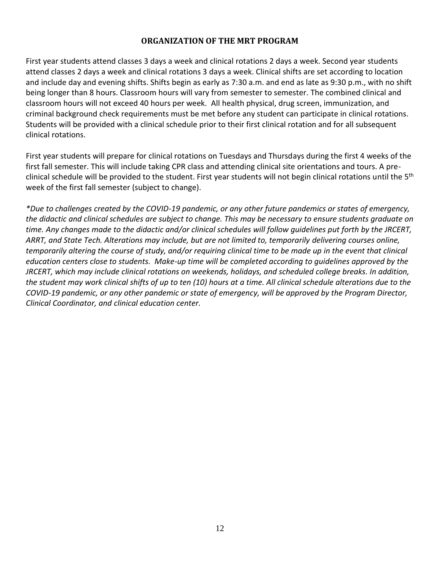#### **ORGANIZATION OF THE MRT PROGRAM**

<span id="page-11-0"></span>First year students attend classes 3 days a week and clinical rotations 2 days a week. Second year students attend classes 2 days a week and clinical rotations 3 days a week. Clinical shifts are set according to location and include day and evening shifts. Shifts begin as early as 7:30 a.m. and end as late as 9:30 p.m., with no shift being longer than 8 hours. Classroom hours will vary from semester to semester. The combined clinical and classroom hours will not exceed 40 hours per week. All health physical, drug screen, immunization, and criminal background check requirements must be met before any student can participate in clinical rotations. Students will be provided with a clinical schedule prior to their first clinical rotation and for all subsequent clinical rotations.

First year students will prepare for clinical rotations on Tuesdays and Thursdays during the first 4 weeks of the first fall semester. This will include taking CPR class and attending clinical site orientations and tours. A preclinical schedule will be provided to the student. First year students will not begin clinical rotations until the 5<sup>th</sup> week of the first fall semester (subject to change).

*\*Due to challenges created by the COVID-19 pandemic, or any other future pandemics or states of emergency, the didactic and clinical schedules are subject to change. This may be necessary to ensure students graduate on time. Any changes made to the didactic and/or clinical schedules will follow guidelines put forth by the JRCERT, ARRT, and State Tech. Alterations may include, but are not limited to, temporarily delivering courses online, temporarily altering the course of study, and/or requiring clinical time to be made up in the event that clinical education centers close to students. Make-up time will be completed according to guidelines approved by the JRCERT, which may include clinical rotations on weekends, holidays, and scheduled college breaks. In addition, the student may work clinical shifts of up to ten (10) hours at a time. All clinical schedule alterations due to the COVID-19 pandemic, or any other pandemic or state of emergency, will be approved by the Program Director, Clinical Coordinator, and clinical education center.*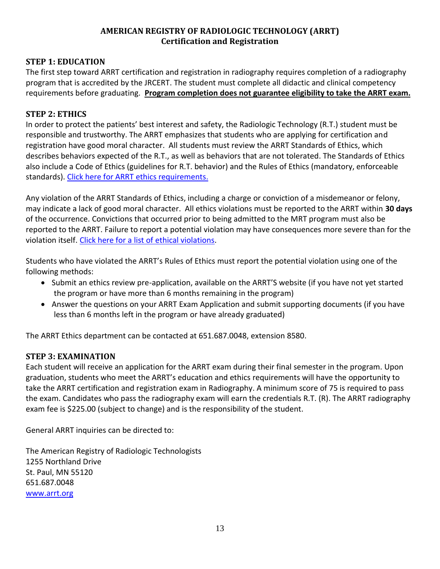#### **AMERICAN REGISTRY OF RADIOLOGIC TECHNOLOGY (ARRT) Certification and Registration**

#### <span id="page-12-0"></span>**STEP 1: EDUCATION**

The first step toward ARRT certification and registration in radiography requires completion of a radiography program that is accredited by the JRCERT. The student must complete all didactic and clinical competency requirements before graduating. **Program completion does not guarantee eligibility to take the ARRT exam.**

#### **STEP 2: ETHICS**

In order to protect the patients' best interest and safety, the Radiologic Technology (R.T.) student must be responsible and trustworthy. The ARRT emphasizes that students who are applying for certification and registration have good moral character. All students must review the ARRT Standards of Ethics, which describes behaviors expected of the R.T., as well as behaviors that are not tolerated. The Standards of Ethics also include a Code of Ethics (guidelines for R.T. behavior) and the Rules of Ethics (mandatory, enforceable standards). [Click here for ARRT ethics requirements.](https://www.arrt.org/pages/earn-arrt-credentials/initial-requirements/ethics/ethics-requirements) 

Any violation of the ARRT Standards of Ethics, including a charge or conviction of a misdemeanor or felony, may indicate a lack of good moral character. All ethics violations must be reported to the ARRT within **30 days** of the occurrence. Convictions that occurred prior to being admitted to the MRT program must also be reported to the ARRT. Failure to report a potential violation may have consequences more severe than for the violation itself[. Click here for a list of](https://www.arrt.org/pages/earn-arrt-credentials/initial-requirements/ethics/types-of-ethics-violations) ethical violations.

Students who have violated the ARRT's Rules of Ethics must report the potential violation using one of the following methods:

- Submit an ethics review pre-application, available on the ARRT'S website (if you have not yet started the program or have more than 6 months remaining in the program)
- Answer the questions on your ARRT Exam Application and submit supporting documents (if you have less than 6 months left in the program or have already graduated)

The ARRT Ethics department can be contacted at 651.687.0048, extension 8580.

#### **STEP 3: EXAMINATION**

Each student will receive an application for the ARRT exam during their final semester in the program. Upon graduation, students who meet the ARRT's education and ethics requirements will have the opportunity to take the ARRT certification and registration exam in Radiography. A minimum score of 75 is required to pass the exam. Candidates who pass the radiography exam will earn the credentials R.T. (R). The ARRT radiography exam fee is \$225.00 (subject to change) and is the responsibility of the student.

General ARRT inquiries can be directed to:

The American Registry of Radiologic Technologists 1255 Northland Drive St. Paul, MN 55120 651.687.0048 <www.arrt.org>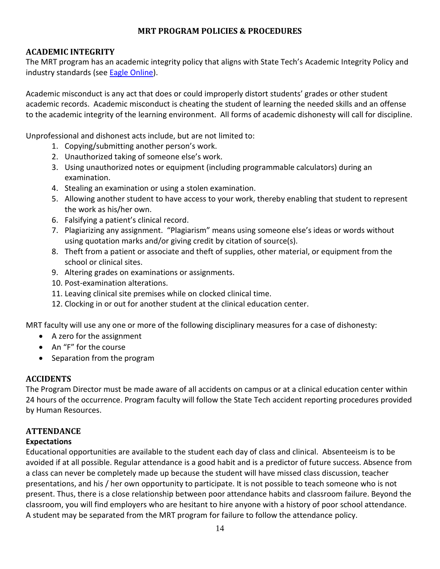#### **MRT PROGRAM POLICIES & PROCEDURES**

#### <span id="page-13-1"></span><span id="page-13-0"></span>**ACADEMIC INTEGRITY**

The MRT program has an academic integrity policy that aligns with State Tech's Academic Integrity Policy and industry standards (see [Eagle Online\)](https://eagleonline.statetechmo.edu/ICS/Academics/).

Academic misconduct is any act that does or could improperly distort students' grades or other student academic records. Academic misconduct is cheating the student of learning the needed skills and an offense to the academic integrity of the learning environment. All forms of academic dishonesty will call for discipline.

Unprofessional and dishonest acts include, but are not limited to:

- 1. Copying/submitting another person's work.
- 2. Unauthorized taking of someone else's work.
- 3. Using unauthorized notes or equipment (including programmable calculators) during an examination.
- 4. Stealing an examination or using a stolen examination.
- 5. Allowing another student to have access to your work, thereby enabling that student to represent the work as his/her own.
- 6. Falsifying a patient's clinical record.
- 7. Plagiarizing any assignment. "Plagiarism" means using someone else's ideas or words without using quotation marks and/or giving credit by citation of source(s).
- 8. Theft from a patient or associate and theft of supplies, other material, or equipment from the school or clinical sites.
- 9. Altering grades on examinations or assignments.
- 10. Post-examination alterations.
- 11. Leaving clinical site premises while on clocked clinical time.
- 12. Clocking in or out for another student at the clinical education center.

MRT faculty will use any one or more of the following disciplinary measures for a case of dishonesty:

- A zero for the assignment
- An "F" for the course
- Separation from the program

#### <span id="page-13-2"></span>**ACCIDENTS**

The Program Director must be made aware of all accidents on campus or at a clinical education center within 24 hours of the occurrence. Program faculty will follow the State Tech accident reporting procedures provided by Human Resources.

#### <span id="page-13-3"></span>**ATTENDANCE**

#### **Expectations**

Educational opportunities are available to the student each day of class and clinical. Absenteeism is to be avoided if at all possible. Regular attendance is a good habit and is a predictor of future success. Absence from a class can never be completely made up because the student will have missed class discussion, teacher presentations, and his / her own opportunity to participate. It is not possible to teach someone who is not present. Thus, there is a close relationship between poor attendance habits and classroom failure. Beyond the classroom, you will find employers who are hesitant to hire anyone with a history of poor school attendance. A student may be separated from the MRT program for failure to follow the attendance policy.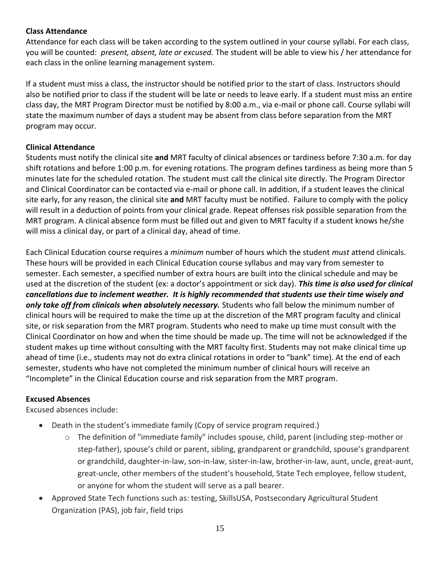#### **Class Attendance**

Attendance for each class will be taken according to the system outlined in your course syllabi. For each class, you will be counted: *present, absent, late or excused.* The student will be able to view his / her attendance for each class in the online learning management system.

If a student must miss a class, the instructor should be notified prior to the start of class. Instructors should also be notified prior to class if the student will be late or needs to leave early. If a student must miss an entire class day, the MRT Program Director must be notified by 8:00 a.m., via e-mail or phone call. Course syllabi will state the maximum number of days a student may be absent from class before separation from the MRT program may occur.

#### **Clinical Attendance**

Students must notify the clinical site **and** MRT faculty of clinical absences or tardiness before 7:30 a.m. for day shift rotations and before 1:00 p.m. for evening rotations. The program defines tardiness as being more than 5 minutes late for the scheduled rotation. The student must call the clinical site directly. The Program Director and Clinical Coordinator can be contacted via e-mail or phone call. In addition, if a student leaves the clinical site early, for any reason, the clinical site **and** MRT faculty must be notified. Failure to comply with the policy will result in a deduction of points from your clinical grade. Repeat offenses risk possible separation from the MRT program. A clinical absence form must be filled out and given to MRT faculty if a student knows he/she will miss a clinical day, or part of a clinical day, ahead of time.

Each Clinical Education course requires a *minimum* number of hours which the student *must* attend clinicals. These hours will be provided in each Clinical Education course syllabus and may vary from semester to semester. Each semester, a specified number of extra hours are built into the clinical schedule and may be used at the discretion of the student (ex: a doctor's appointment or sick day). *This time is also used for clinical cancellations due to inclement weather. It is highly recommended that students use their time wisely and only take off from clinicals when absolutely necessary.* Students who fall below the minimum number of clinical hours will be required to make the time up at the discretion of the MRT program faculty and clinical site, or risk separation from the MRT program. Students who need to make up time must consult with the Clinical Coordinator on how and when the time should be made up. The time will not be acknowledged if the student makes up time without consulting with the MRT faculty first. Students may not make clinical time up ahead of time (i.e., students may not do extra clinical rotations in order to "bank" time). At the end of each semester, students who have not completed the minimum number of clinical hours will receive an "Incomplete" in the Clinical Education course and risk separation from the MRT program.

#### **Excused Absences**

Excused absences include:

- Death in the student's immediate family (Copy of service program required.)
	- o The definition of "immediate family" includes spouse, child, parent (including step-mother or step-father), spouse's child or parent, sibling, grandparent or grandchild, spouse's grandparent or grandchild, daughter-in-law, son-in-law, sister-in-law, brother-in-law, aunt, uncle, great-aunt, great-uncle, other members of the student's household, State Tech employee, fellow student, or anyone for whom the student will serve as a pall bearer.
- Approved State Tech functions such as: testing, SkillsUSA, Postsecondary Agricultural Student Organization (PAS), job fair, field trips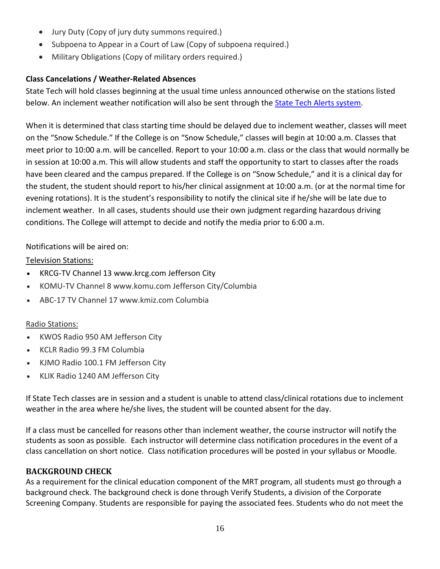- Jury Duty (Copy of jury duty summons required.)
- Subpoena to Appear in a Court of Law (Copy of subpoena required.)
- Military Obligations (Copy of military orders required.)

#### **Class Cancelations / Weather-Related Absences**

State Tech will hold classes beginning at the usual time unless announced otherwise on the stations listed below. An inclement weather notification will also be sent through th[e State Tech Alerts system.](https://www.getrave.com/login/statetechmo)

When it is determined that class starting time should be delayed due to inclement weather, classes will meet on the "Snow Schedule." If the College is on "Snow Schedule," classes will begin at 10:00 a.m. Classes that meet prior to 10:00 a.m. will be cancelled. Report to your 10:00 a.m. class or the class that would normally be in session at 10:00 a.m. This will allow students and staff the opportunity to start to classes after the roads have been cleared and the campus prepared. If the College is on "Snow Schedule," and it is a clinical day for the student, the student should report to his/her clinical assignment at 10:00 a.m. (or at the normal time for evening rotations). It is the student's responsibility to notify the clinical site if he/she will be late due to inclement weather. In all cases, students should use their own judgment regarding hazardous driving conditions. The College will attempt to decide and notify the media prior to 6:00 a.m.

#### Notifications will be aired on:

#### Television Stations:

- KRCG-TV Channel 13 www.krcg.com Jefferson City
- KOMU-TV Channel 8 www.komu.com Jefferson City/Columbia
- ABC-17 TV Channel 17 www.kmiz.com Columbia

#### Radio Stations:

- KWOS Radio 950 AM Jefferson City
- KCLR Radio 99.3 FM Columbia
- KJMO Radio 100.1 FM Jefferson City
- KLIK Radio 1240 AM Jefferson City

If State Tech classes are in session and a student is unable to attend class/clinical rotations due to inclement weather in the area where he/she lives, the student will be counted absent for the day.

If a class must be cancelled for reasons other than inclement weather, the course instructor will notify the students as soon as possible. Each instructor will determine class notification procedures in the event of a class cancellation on short notice. Class notification procedures will be posted in your syllabus or Moodle.

#### <span id="page-15-0"></span>**BACKGROUND CHECK**

As a requirement for the clinical education component of the MRT program, all students must go through a background check. The background check is done through Verify Students, a division of the Corporate Screening Company. Students are responsible for paying the associated fees. Students who do not meet the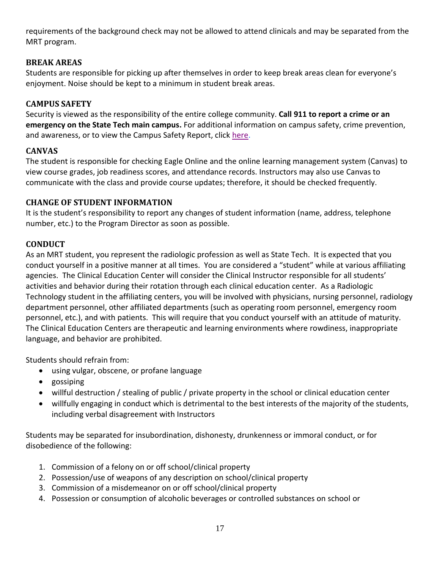requirements of the background check may not be allowed to attend clinicals and may be separated from the MRT program.

#### <span id="page-16-0"></span>**BREAK AREAS**

Students are responsible for picking up after themselves in order to keep break areas clean for everyone's enjoyment. Noise should be kept to a minimum in student break areas.

#### <span id="page-16-1"></span>**CAMPUS SAFETY**

Security is viewed as the responsibility of the entire college community. **Call 911 to report a crime or an emergency on the State Tech main campus.** For additional information on campus safety, crime prevention, and awareness, or to view the Campus Safety Report, click [here.](https://www.statetechmo.edu/campus-services/campus-safety/)

#### <span id="page-16-2"></span>**CANVAS**

The student is responsible for checking Eagle Online and the online learning management system (Canvas) to view course grades, job readiness scores, and attendance records. Instructors may also use Canvas to communicate with the class and provide course updates; therefore, it should be checked frequently.

#### <span id="page-16-3"></span>**CHANGE OF STUDENT INFORMATION**

It is the student's responsibility to report any changes of student information (name, address, telephone number, etc.) to the Program Director as soon as possible.

#### <span id="page-16-4"></span>**CONDUCT**

As an MRT student, you represent the radiologic profession as well as State Tech. It is expected that you conduct yourself in a positive manner at all times. You are considered a "student" while at various affiliating agencies. The Clinical Education Center will consider the Clinical Instructor responsible for all students' activities and behavior during their rotation through each clinical education center. As a Radiologic Technology student in the affiliating centers, you will be involved with physicians, nursing personnel, radiology department personnel, other affiliated departments (such as operating room personnel, emergency room personnel, etc.), and with patients. This will require that you conduct yourself with an attitude of maturity. The Clinical Education Centers are therapeutic and learning environments where rowdiness, inappropriate language, and behavior are prohibited.

Students should refrain from:

- using vulgar, obscene, or profane language
- gossiping
- willful destruction / stealing of public / private property in the school or clinical education center
- willfully engaging in conduct which is detrimental to the best interests of the majority of the students, including verbal disagreement with Instructors

Students may be separated for insubordination, dishonesty, drunkenness or immoral conduct, or for disobedience of the following:

- 1. Commission of a felony on or off school/clinical property
- 2. Possession/use of weapons of any description on school/clinical property
- 3. Commission of a misdemeanor on or off school/clinical property
- 4. Possession or consumption of alcoholic beverages or controlled substances on school or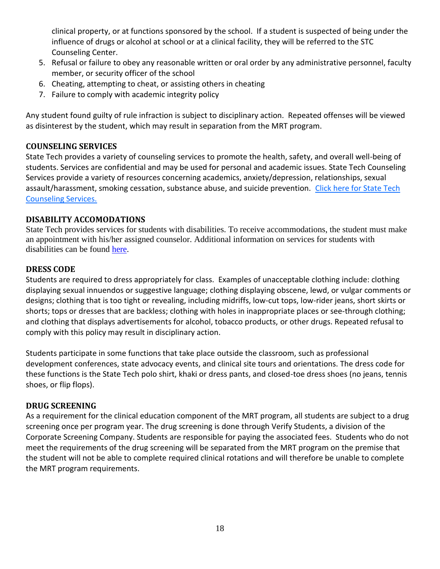clinical property, or at functions sponsored by the school. If a student is suspected of being under the influence of drugs or alcohol at school or at a clinical facility, they will be referred to the STC Counseling Center.

- 5. Refusal or failure to obey any reasonable written or oral order by any administrative personnel, faculty member, or security officer of the school
- 6. Cheating, attempting to cheat, or assisting others in cheating
- 7. Failure to comply with academic integrity policy

Any student found guilty of rule infraction is subject to disciplinary action. Repeated offenses will be viewed as disinterest by the student, which may result in separation from the MRT program.

#### <span id="page-17-0"></span>**COUNSELING SERVICES**

State Tech provides a variety of counseling services to promote the health, safety, and overall well-being of students. Services are confidential and may be used for personal and academic issues. State Tech Counseling Services provide a variety of resources concerning academics, anxiety/depression, relationships, sexual assault/harassment, smoking cessation, substance abuse, and suicide prevention. Click here for State Tech [Counseling Services.](https://www.statetechmo.edu/campus-services/counseling-services/) 

#### <span id="page-17-1"></span>**DISABILITY ACCOMODATIONS**

State Tech provides services for students with disabilities. To receive accommodations, the student must make an appointment with his/her assigned counselor. Additional information on services for students with disabilities can be found [here.](https://www.statetechmo.edu/wp-content/uploads/2020/12/Accommodations-Requirements.pdf)

#### <span id="page-17-2"></span>**DRESS CODE**

Students are required to dress appropriately for class. Examples of unacceptable clothing include: clothing displaying sexual innuendos or suggestive language; clothing displaying obscene, lewd, or vulgar comments or designs; clothing that is too tight or revealing, including midriffs, low-cut tops, low-rider jeans, short skirts or shorts; tops or dresses that are backless; clothing with holes in inappropriate places or see-through clothing; and clothing that displays advertisements for alcohol, tobacco products, or other drugs. Repeated refusal to comply with this policy may result in disciplinary action.

Students participate in some functions that take place outside the classroom, such as professional development conferences, state advocacy events, and clinical site tours and orientations. The dress code for these functions is the State Tech polo shirt, khaki or dress pants, and closed-toe dress shoes (no jeans, tennis shoes, or flip flops).

#### <span id="page-17-3"></span>**DRUG SCREENING**

As a requirement for the clinical education component of the MRT program, all students are subject to a drug screening once per program year. The drug screening is done through Verify Students, a division of the Corporate Screening Company. Students are responsible for paying the associated fees. Students who do not meet the requirements of the drug screening will be separated from the MRT program on the premise that the student will not be able to complete required clinical rotations and will therefore be unable to complete the MRT program requirements.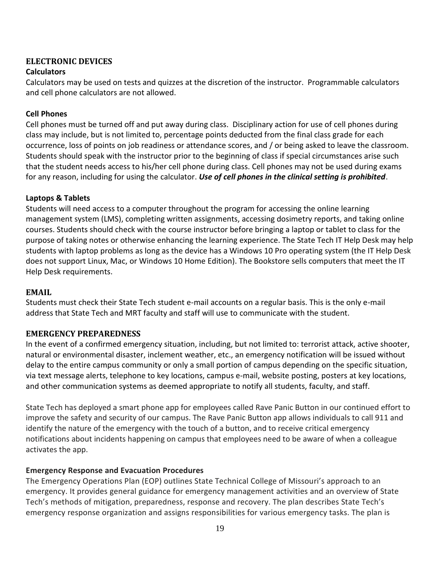# <span id="page-18-0"></span>**ELECTRONIC DEVICES**

#### **Calculators**

Calculators may be used on tests and quizzes at the discretion of the instructor. Programmable calculators and cell phone calculators are not allowed.

#### **Cell Phones**

Cell phones must be turned off and put away during class. Disciplinary action for use of cell phones during class may include, but is not limited to, percentage points deducted from the final class grade for each occurrence, loss of points on job readiness or attendance scores, and / or being asked to leave the classroom. Students should speak with the instructor prior to the beginning of class if special circumstances arise such that the student needs access to his/her cell phone during class. Cell phones may not be used during exams for any reason, including for using the calculator. *Use of cell phones in the clinical setting is prohibited*.

#### **Laptops & Tablets**

Students will need access to a computer throughout the program for accessing the online learning management system (LMS), completing written assignments, accessing dosimetry reports, and taking online courses. Students should check with the course instructor before bringing a laptop or tablet to class for the purpose of taking notes or otherwise enhancing the learning experience. The State Tech IT Help Desk may help students with laptop problems as long as the device has a Windows 10 Pro operating system (the IT Help Desk does not support Linux, Mac, or Windows 10 Home Edition). The Bookstore sells computers that meet the IT Help Desk requirements.

#### <span id="page-18-1"></span>**EMAIL**

Students must check their State Tech student e-mail accounts on a regular basis. This is the only e-mail address that State Tech and MRT faculty and staff will use to communicate with the student.

#### <span id="page-18-2"></span>**EMERGENCY PREPAREDNESS**

In the event of a confirmed emergency situation, including, but not limited to: terrorist attack, active shooter, natural or environmental disaster, inclement weather, etc., an emergency notification will be issued without delay to the entire campus community or only a small portion of campus depending on the specific situation, via text message alerts, telephone to key locations, campus e-mail, website posting, posters at key locations, and other communication systems as deemed appropriate to notify all students, faculty, and staff.

State Tech has deployed a smart phone app for employees called Rave Panic Button in our continued effort to improve the safety and security of our campus. The Rave Panic Button app allows individuals to call 911 and identify the nature of the emergency with the touch of a button, and to receive critical emergency notifications about incidents happening on campus that employees need to be aware of when a colleague activates the app.

#### **Emergency Response and Evacuation Procedures**

The Emergency Operations Plan (EOP) outlines State Technical College of Missouri's approach to an emergency. It provides general guidance for emergency management activities and an overview of State Tech's methods of mitigation, preparedness, response and recovery. The plan describes State Tech's emergency response organization and assigns responsibilities for various emergency tasks. The plan is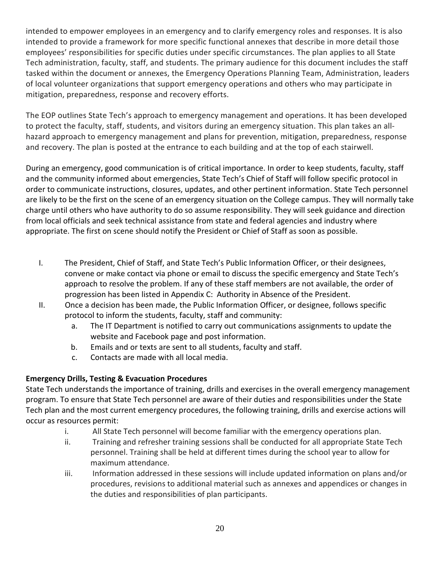intended to empower employees in an emergency and to clarify emergency roles and responses. It is also intended to provide a framework for more specific functional annexes that describe in more detail those employees' responsibilities for specific duties under specific circumstances. The plan applies to all State Tech administration, faculty, staff, and students. The primary audience for this document includes the staff tasked within the document or annexes, the Emergency Operations Planning Team, Administration, leaders of local volunteer organizations that support emergency operations and others who may participate in mitigation, preparedness, response and recovery efforts.

The EOP outlines State Tech's approach to emergency management and operations. It has been developed to protect the faculty, staff, students, and visitors during an emergency situation. This plan takes an allhazard approach to emergency management and plans for prevention, mitigation, preparedness, response and recovery. The plan is posted at the entrance to each building and at the top of each stairwell.

During an emergency, good communication is of critical importance. In order to keep students, faculty, staff and the community informed about emergencies, State Tech's Chief of Staff will follow specific protocol in order to communicate instructions, closures, updates, and other pertinent information. State Tech personnel are likely to be the first on the scene of an emergency situation on the College campus. They will normally take charge until others who have authority to do so assume responsibility. They will seek guidance and direction from local officials and seek technical assistance from state and federal agencies and industry where appropriate. The first on scene should notify the President or Chief of Staff as soon as possible.

- I. The President, Chief of Staff, and State Tech's Public Information Officer, or their designees, convene or make contact via phone or email to discuss the specific emergency and State Tech's approach to resolve the problem. If any of these staff members are not available, the order of progression has been listed in Appendix C: Authority in Absence of the President.
- II. Once a decision has been made, the Public Information Officer, or designee, follows specific protocol to inform the students, faculty, staff and community:
	- a. The IT Department is notified to carry out communications assignments to update the website and Facebook page and post information.
	- b. Emails and or texts are sent to all students, faculty and staff.
	- c. Contacts are made with all local media.

#### **Emergency Drills, Testing & Evacuation Procedures**

State Tech understands the importance of training, drills and exercises in the overall emergency management program. To ensure that State Tech personnel are aware of their duties and responsibilities under the State Tech plan and the most current emergency procedures, the following training, drills and exercise actions will occur as resources permit:

- i. All State Tech personnel will become familiar with the emergency operations plan.
- ii. Training and refresher training sessions shall be conducted for all appropriate State Tech personnel. Training shall be held at different times during the school year to allow for maximum attendance.
- iii. Information addressed in these sessions will include updated information on plans and/or procedures, revisions to additional material such as annexes and appendices or changes in the duties and responsibilities of plan participants.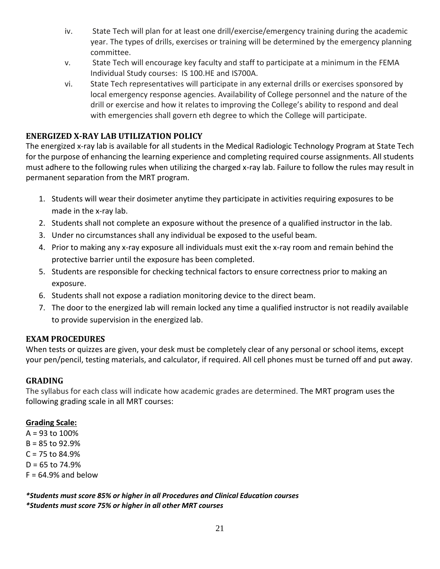- iv. State Tech will plan for at least one drill/exercise/emergency training during the academic year. The types of drills, exercises or training will be determined by the emergency planning committee.
- v. State Tech will encourage key faculty and staff to participate at a minimum in the FEMA Individual Study courses: IS 100.HE and IS700A.
- vi. State Tech representatives will participate in any external drills or exercises sponsored by local emergency response agencies. Availability of College personnel and the nature of the drill or exercise and how it relates to improving the College's ability to respond and deal with emergencies shall govern eth degree to which the College will participate.

#### <span id="page-20-0"></span>**ENERGIZED X-RAY LAB UTILIZATION POLICY**

The energized x-ray lab is available for all students in the Medical Radiologic Technology Program at State Tech for the purpose of enhancing the learning experience and completing required course assignments. All students must adhere to the following rules when utilizing the charged x-ray lab. Failure to follow the rules may result in permanent separation from the MRT program.

- 1. Students will wear their dosimeter anytime they participate in activities requiring exposures to be made in the x-ray lab.
- 2. Students shall not complete an exposure without the presence of a qualified instructor in the lab.
- 3. Under no circumstances shall any individual be exposed to the useful beam.
- 4. Prior to making any x-ray exposure all individuals must exit the x-ray room and remain behind the protective barrier until the exposure has been completed.
- 5. Students are responsible for checking technical factors to ensure correctness prior to making an exposure.
- 6. Students shall not expose a radiation monitoring device to the direct beam.
- 7. The door to the energized lab will remain locked any time a qualified instructor is not readily available to provide supervision in the energized lab.

#### <span id="page-20-1"></span>**EXAM PROCEDURES**

When tests or quizzes are given, your desk must be completely clear of any personal or school items, except your pen/pencil, testing materials, and calculator, if required. All cell phones must be turned off and put away.

#### <span id="page-20-2"></span>**GRADING**

The syllabus for each class will indicate how academic grades are determined. The MRT program uses the following grading scale in all MRT courses:

#### **Grading Scale:**

A = 93 to 100% B = 85 to 92.9%  $C = 75$  to 84.9%  $D = 65$  to 74.9%  $F = 64.9%$  and below

*\*Students must score 85% or higher in all Procedures and Clinical Education courses \*Students must score 75% or higher in all other MRT courses*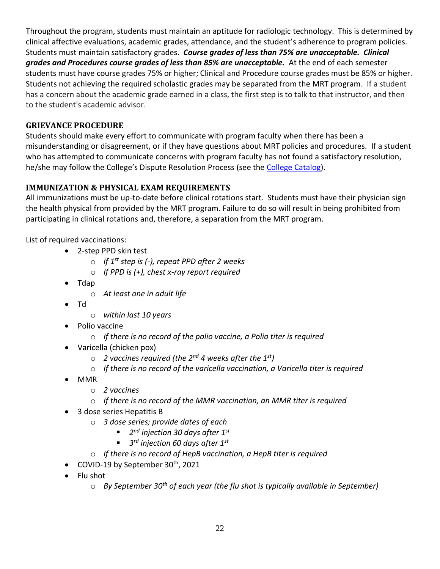Throughout the program, students must maintain an aptitude for radiologic technology. This is determined by clinical affective evaluations, academic grades, attendance, and the student's adherence to program policies. Students must maintain satisfactory grades. *Course grades of less than 75% are unacceptable. Clinical*  grades and Procedures course grades of less than 85% are unacceptable. At the end of each semester students must have course grades 75% or higher; Clinical and Procedure course grades must be 85% or higher. Students not achieving the required scholastic grades may be separated from the MRT program. If a student has a concern about the academic grade earned in a class, the first step is to talk to that instructor, and then to the student's academic advisor.

#### <span id="page-21-0"></span>**GRIEVANCE PROCEDURE**

Students should make every effort to communicate with program faculty when there has been a misunderstanding or disagreement, or if they have questions about MRT policies and procedures. If a student who has attempted to communicate concerns with program faculty has not found a satisfactory resolution, he/she may follow the College's Dispute Resolution Process (see the [College Catalog\)](https://eagleonline.statetechmo.edu/ICS/Academics/My_Academic_Info.jnz?portlet=College_Catalogs).

#### <span id="page-21-1"></span>**IMMUNIZATION & PHYSICAL EXAM REQUIREMENTS**

All immunizations must be up-to-date before clinical rotations start. Students must have their physician sign the health physical from provided by the MRT program. Failure to do so will result in being prohibited from participating in clinical rotations and, therefore, a separation from the MRT program.

List of required vaccinations:

- 2-step PPD skin test
	- o *If 1st step is (-), repeat PPD after 2 weeks*
	- o *If PPD is (+), chest x-ray report required*
- Tdap
	- o *At least one in adult life*
- Td
	- o *within last 10 years*
- Polio vaccine
	- o *If there is no record of the polio vaccine, a Polio titer is required*
- Varicella (chicken pox)
	- o *2 vaccines required (the 2nd 4 weeks after the 1st)*
	- o *If there is no record of the varicella vaccination, a Varicella titer is required*
- MMR
	- o *2 vaccines*
	- o *If there is no record of the MMR vaccination, an MMR titer is required*
- 3 dose series Hepatitis B
	- o *3 dose series; provide dates of each*
		- *2 nd injection 30 days after 1st*
		- *3 rd injection 60 days after 1st*
	- o *If there is no record of HepB vaccination, a HepB titer is required*
- COVID-19 by September  $30<sup>th</sup>$ , 2021
- Flu shot
	- o *By September 30th of each year (the flu shot is typically available in September)*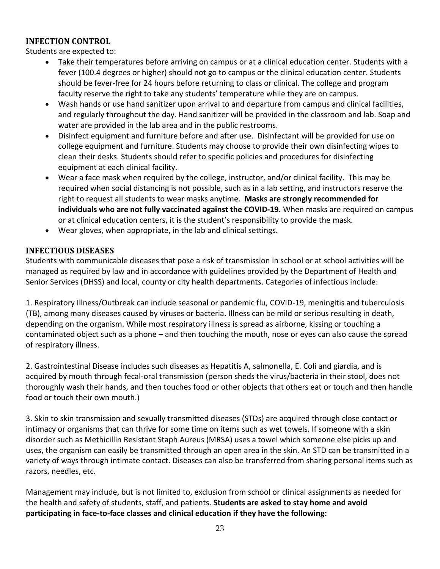#### <span id="page-22-0"></span>**INFECTION CONTROL**

Students are expected to:

- Take their temperatures before arriving on campus or at a clinical education center. Students with a fever (100.4 degrees or higher) should not go to campus or the clinical education center. Students should be fever-free for 24 hours before returning to class or clinical. The college and program faculty reserve the right to take any students' temperature while they are on campus.
- Wash hands or use hand sanitizer upon arrival to and departure from campus and clinical facilities, and regularly throughout the day. Hand sanitizer will be provided in the classroom and lab. Soap and water are provided in the lab area and in the public restrooms.
- Disinfect equipment and furniture before and after use. Disinfectant will be provided for use on college equipment and furniture. Students may choose to provide their own disinfecting wipes to clean their desks. Students should refer to specific policies and procedures for disinfecting equipment at each clinical facility.
- Wear a face mask when required by the college, instructor, and/or clinical facility. This may be required when social distancing is not possible, such as in a lab setting, and instructors reserve the right to request all students to wear masks anytime. **Masks are strongly recommended for individuals who are not fully vaccinated against the COVID-19.** When masks are required on campus or at clinical education centers, it is the student's responsibility to provide the mask.
- Wear gloves, when appropriate, in the lab and clinical settings.

#### <span id="page-22-1"></span>**INFECTIOUS DISEASES**

Students with communicable diseases that pose a risk of transmission in school or at school activities will be managed as required by law and in accordance with guidelines provided by the Department of Health and Senior Services (DHSS) and local, county or city health departments. Categories of infectious include:

1. Respiratory Illness/Outbreak can include seasonal or pandemic flu, COVID-19, meningitis and tuberculosis (TB), among many diseases caused by viruses or bacteria. Illness can be mild or serious resulting in death, depending on the organism. While most respiratory illness is spread as airborne, kissing or touching a contaminated object such as a phone – and then touching the mouth, nose or eyes can also cause the spread of respiratory illness.

2. Gastrointestinal Disease includes such diseases as Hepatitis A, salmonella, E. Coli and giardia, and is acquired by mouth through fecal-oral transmission (person sheds the virus/bacteria in their stool, does not thoroughly wash their hands, and then touches food or other objects that others eat or touch and then handle food or touch their own mouth.)

3. Skin to skin transmission and sexually transmitted diseases (STDs) are acquired through close contact or intimacy or organisms that can thrive for some time on items such as wet towels. If someone with a skin disorder such as Methicillin Resistant Staph Aureus (MRSA) uses a towel which someone else picks up and uses, the organism can easily be transmitted through an open area in the skin. An STD can be transmitted in a variety of ways through intimate contact. Diseases can also be transferred from sharing personal items such as razors, needles, etc.

Management may include, but is not limited to, exclusion from school or clinical assignments as needed for the health and safety of students, staff, and patients. **Students are asked to stay home and avoid participating in face-to-face classes and clinical education if they have the following:**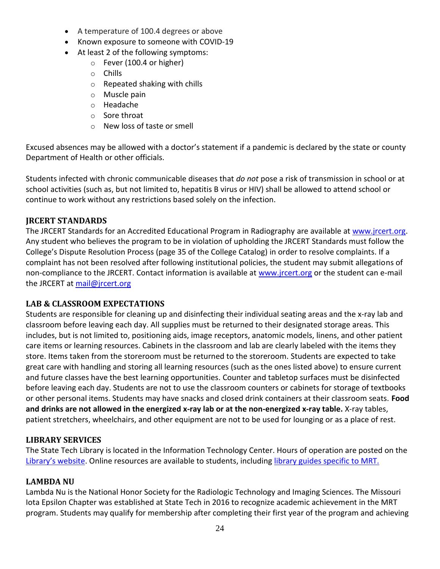- A temperature of 100.4 degrees or above
- Known exposure to someone with COVID-19
- At least 2 of the following symptoms:
	- o Fever (100.4 or higher)
	- o Chills
	- o Repeated shaking with chills
	- o Muscle pain
	- o Headache
	- o Sore throat
	- o New loss of taste or smell

Excused absences may be allowed with a doctor's statement if a pandemic is declared by the state or county Department of Health or other officials.

Students infected with chronic communicable diseases that *do not* pose a risk of transmission in school or at school activities (such as, but not limited to, hepatitis B virus or HIV) shall be allowed to attend school or continue to work without any restrictions based solely on the infection.

#### <span id="page-23-0"></span>**JRCERT STANDARDS**

The JRCERT Standards for an Accredited Educational Program in Radiography are available at [www.jrcert.org.](http://www.jrcert.org/) Any student who believes the program to be in violation of upholding the JRCERT Standards must follow the College's Dispute Resolution Process (page 35 of the College Catalog) in order to resolve complaints. If a complaint has not been resolved after following institutional policies, the student may submit allegations of non-compliance to the JRCERT. Contact information is available at [www.jrcert.org](http://www.jrcert.org/) or the student can e-mail the JRCERT at [mail@jrcert.org](mailto:mail@jrcert.org)

#### <span id="page-23-1"></span>**LAB & CLASSROOM EXPECTATIONS**

Students are responsible for cleaning up and disinfecting their individual seating areas and the x-ray lab and classroom before leaving each day. All supplies must be returned to their designated storage areas. This includes, but is not limited to, positioning aids, image receptors, anatomic models, linens, and other patient care items or learning resources. Cabinets in the classroom and lab are clearly labeled with the items they store. Items taken from the storeroom must be returned to the storeroom. Students are expected to take great care with handling and storing all learning resources (such as the ones listed above) to ensure current and future classes have the best learning opportunities. Counter and tabletop surfaces must be disinfected before leaving each day. Students are not to use the classroom counters or cabinets for storage of textbooks or other personal items. Students may have snacks and closed drink containers at their classroom seats. **Food and drinks are not allowed in the energized x-ray lab or at the non-energized x-ray table.** X-ray tables, patient stretchers, wheelchairs, and other equipment are not to be used for lounging or as a place of rest.

#### <span id="page-23-2"></span>**LIBRARY SERVICES**

The State Tech Library is located in the Information Technology Center. Hours of operation are posted on the [Library's website](https://www.statetechmo.edu/campus-services/library/). Online resources are available to students, including [library guides specific to](https://libguides.statetechmo.edu/mrt) MRT.

#### <span id="page-23-3"></span>**LAMBDA NU**

Lambda Nu is the National Honor Society for the Radiologic Technology and Imaging Sciences. The Missouri Iota Epsilon Chapter was established at State Tech in 2016 to recognize academic achievement in the MRT program. Students may qualify for membership after completing their first year of the program and achieving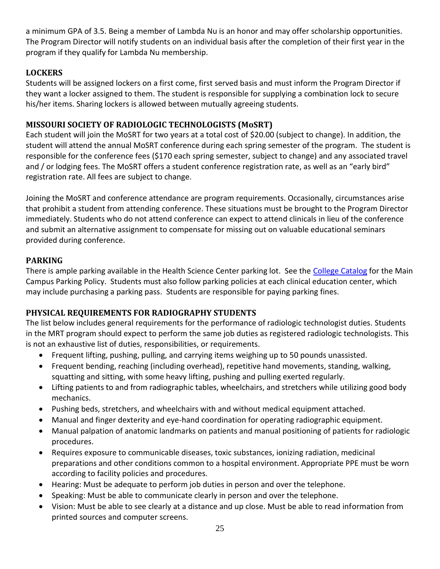a minimum GPA of 3.5. Being a member of Lambda Nu is an honor and may offer scholarship opportunities. The Program Director will notify students on an individual basis after the completion of their first year in the program if they qualify for Lambda Nu membership.

#### <span id="page-24-0"></span>**LOCKERS**

Students will be assigned lockers on a first come, first served basis and must inform the Program Director if they want a locker assigned to them. The student is responsible for supplying a combination lock to secure his/her items. Sharing lockers is allowed between mutually agreeing students.

#### <span id="page-24-1"></span>**MISSOURI SOCIETY OF RADIOLOGIC TECHNOLOGISTS (MoSRT)**

Each student will join the MoSRT for two years at a total cost of \$20.00 (subject to change). In addition, the student will attend the annual MoSRT conference during each spring semester of the program. The student is responsible for the conference fees (\$170 each spring semester, subject to change) and any associated travel and / or lodging fees. The MoSRT offers a student conference registration rate, as well as an "early bird" registration rate. All fees are subject to change.

Joining the MoSRT and conference attendance are program requirements. Occasionally, circumstances arise that prohibit a student from attending conference. These situations must be brought to the Program Director immediately. Students who do not attend conference can expect to attend clinicals in lieu of the conference and submit an alternative assignment to compensate for missing out on valuable educational seminars provided during conference.

#### <span id="page-24-2"></span>**PARKING**

There is ample parking available in the Health Science Center parking lot. See the [College Catalog](https://eagleonline.statetechmo.edu/ICS/Academics/My_Academic_Info.jnz?portlet=College_Catalogs) for the Main Campus Parking Policy. Students must also follow parking policies at each clinical education center, which may include purchasing a parking pass. Students are responsible for paying parking fines.

#### <span id="page-24-3"></span>**PHYSICAL REQUIREMENTS FOR RADIOGRAPHY STUDENTS**

The list below includes general requirements for the performance of radiologic technologist duties. Students in the MRT program should expect to perform the same job duties as registered radiologic technologists. This is not an exhaustive list of duties, responsibilities, or requirements.

- Frequent lifting, pushing, pulling, and carrying items weighing up to 50 pounds unassisted.
- Frequent bending, reaching (including overhead), repetitive hand movements, standing, walking, squatting and sitting, with some heavy lifting, pushing and pulling exerted regularly.
- Lifting patients to and from radiographic tables, wheelchairs, and stretchers while utilizing good body mechanics.
- Pushing beds, stretchers, and wheelchairs with and without medical equipment attached.
- Manual and finger dexterity and eye-hand coordination for operating radiographic equipment.
- Manual palpation of anatomic landmarks on patients and manual positioning of patients for radiologic procedures.
- Requires exposure to communicable diseases, toxic substances, ionizing radiation, medicinal preparations and other conditions common to a hospital environment. Appropriate PPE must be worn according to facility policies and procedures.
- Hearing: Must be adequate to perform job duties in person and over the telephone.
- Speaking: Must be able to communicate clearly in person and over the telephone.
- Vision: Must be able to see clearly at a distance and up close. Must be able to read information from printed sources and computer screens.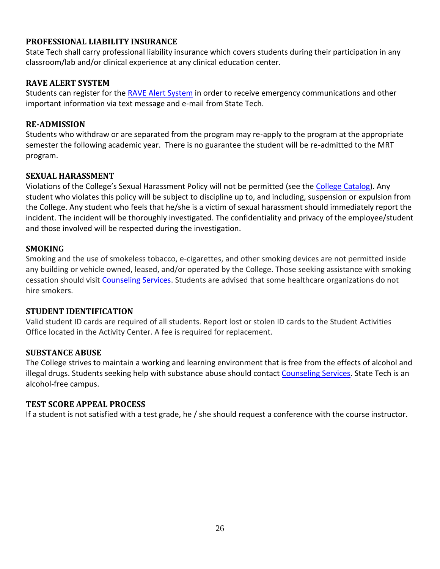#### <span id="page-25-0"></span>**PROFESSIONAL LIABILITY INSURANCE**

State Tech shall carry professional liability insurance which covers students during their participation in any classroom/lab and/or clinical experience at any clinical education center.

#### <span id="page-25-1"></span>**RAVE ALERT SYSTEM**

Students can register for th[e RAVE Alert System](https://www.getrave.com/login/statetechmo) in order to receive emergency communications and other important information via text message and e-mail from State Tech.

#### <span id="page-25-2"></span>**RE-ADMISSION**

Students who withdraw or are separated from the program may re-apply to the program at the appropriate semester the following academic year. There is no guarantee the student will be re-admitted to the MRT program.

#### <span id="page-25-3"></span>**SEXUAL HARASSMENT**

Violations of the College's Sexual Harassment Policy will not be permitted (see th[e College Catalog\)](https://eagleonline.statetechmo.edu/ICS/Academics/My_Academic_Info.jnz?portlet=College_Catalogs). Any student who violates this policy will be subject to discipline up to, and including, suspension or expulsion from the College. Any student who feels that he/she is a victim of sexual harassment should immediately report the incident. The incident will be thoroughly investigated. The confidentiality and privacy of the employee/student and those involved will be respected during the investigation.

#### <span id="page-25-4"></span>**SMOKING**

Smoking and the use of smokeless tobacco, e-cigarettes, and other smoking devices are not permitted inside any building or vehicle owned, leased, and/or operated by the College. Those seeking assistance with smoking cessation should visit [Counseling Services.](https://www.statetechmo.edu/campus-services/counseling-services/) Students are advised that some healthcare organizations do not hire smokers.

#### <span id="page-25-5"></span>**STUDENT IDENTIFICATION**

Valid student ID cards are required of all students. Report lost or stolen ID cards to the Student Activities Office located in the Activity Center. A fee is required for replacement.

#### <span id="page-25-6"></span>**SUBSTANCE ABUSE**

The College strives to maintain a working and learning environment that is free from the effects of alcohol and illegal drugs. Students seeking help with substance abuse should contact [Counseling Services.](https://www.statetechmo.edu/campus-services/counseling-services/) State Tech is an alcohol-free campus.

#### <span id="page-25-7"></span>**TEST SCORE APPEAL PROCESS**

If a student is not satisfied with a test grade, he / she should request a conference with the course instructor.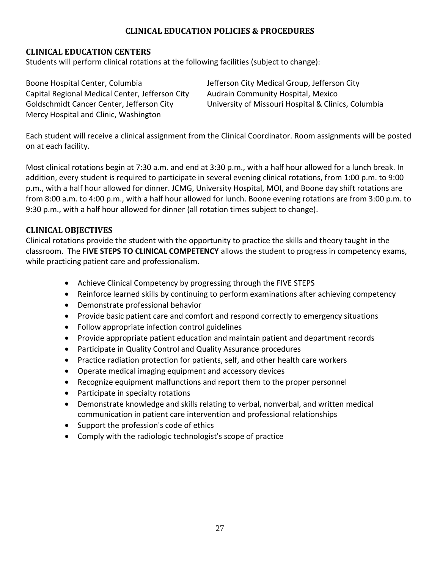#### **CLINICAL EDUCATION POLICIES & PROCEDURES**

#### <span id="page-26-1"></span><span id="page-26-0"></span>**CLINICAL EDUCATION CENTERS**

Students will perform clinical rotations at the following facilities (subject to change):

Boone Hospital Center, Columbia Jefferson City Medical Group, Jefferson City Capital Regional Medical Center, Jefferson City Audrain Community Hospital, Mexico Mercy Hospital and Clinic, Washington

Goldschmidt Cancer Center, Jefferson City University of Missouri Hospital & Clinics, Columbia

Each student will receive a clinical assignment from the Clinical Coordinator. Room assignments will be posted on at each facility.

Most clinical rotations begin at 7:30 a.m. and end at 3:30 p.m., with a half hour allowed for a lunch break. In addition, every student is required to participate in several evening clinical rotations, from 1:00 p.m. to 9:00 p.m., with a half hour allowed for dinner. JCMG, University Hospital, MOI, and Boone day shift rotations are from 8:00 a.m. to 4:00 p.m., with a half hour allowed for lunch. Boone evening rotations are from 3:00 p.m. to 9:30 p.m., with a half hour allowed for dinner (all rotation times subject to change).

#### <span id="page-26-2"></span>**CLINICAL OBJECTIVES**

Clinical rotations provide the student with the opportunity to practice the skills and theory taught in the classroom. The **FIVE STEPS TO CLINICAL COMPETENCY** allows the student to progress in competency exams, while practicing patient care and professionalism.

- Achieve Clinical Competency by progressing through the FIVE STEPS
- Reinforce learned skills by continuing to perform examinations after achieving competency
- Demonstrate professional behavior
- Provide basic patient care and comfort and respond correctly to emergency situations
- Follow appropriate infection control guidelines
- Provide appropriate patient education and maintain patient and department records
- Participate in Quality Control and Quality Assurance procedures
- Practice radiation protection for patients, self, and other health care workers
- Operate medical imaging equipment and accessory devices
- Recognize equipment malfunctions and report them to the proper personnel
- Participate in specialty rotations
- Demonstrate knowledge and skills relating to verbal, nonverbal, and written medical communication in patient care intervention and professional relationships
- Support the profession's code of ethics
- Comply with the radiologic technologist's scope of practice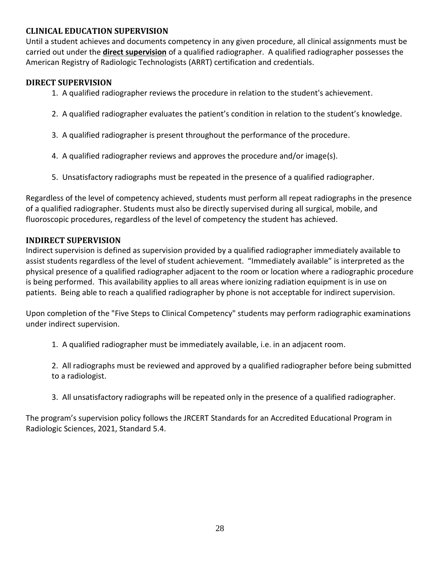#### <span id="page-27-0"></span>**CLINICAL EDUCATION SUPERVISION**

Until a student achieves and documents competency in any given procedure, all clinical assignments must be carried out under the **direct supervision** of a qualified radiographer. A qualified radiographer possesses the American Registry of Radiologic Technologists (ARRT) certification and credentials.

#### **DIRECT SUPERVISION**

- 1. A qualified radiographer reviews the procedure in relation to the student's achievement.
- 2. A qualified radiographer evaluates the patient's condition in relation to the student's knowledge.
- 3. A qualified radiographer is present throughout the performance of the procedure.
- 4. A qualified radiographer reviews and approves the procedure and/or image(s).
- 5. Unsatisfactory radiographs must be repeated in the presence of a qualified radiographer.

Regardless of the level of competency achieved, students must perform all repeat radiographs in the presence of a qualified radiographer. Students must also be directly supervised during all surgical, mobile, and fluoroscopic procedures, regardless of the level of competency the student has achieved.

#### **INDIRECT SUPERVISION**

Indirect supervision is defined as supervision provided by a qualified radiographer immediately available to assist students regardless of the level of student achievement. "Immediately available" is interpreted as the physical presence of a qualified radiographer adjacent to the room or location where a radiographic procedure is being performed. This availability applies to all areas where ionizing radiation equipment is in use on patients. Being able to reach a qualified radiographer by phone is not acceptable for indirect supervision.

Upon completion of the "Five Steps to Clinical Competency" students may perform radiographic examinations under indirect supervision.

1. A qualified radiographer must be immediately available, i.e. in an adjacent room.

2. All radiographs must be reviewed and approved by a qualified radiographer before being submitted to a radiologist.

3. All unsatisfactory radiographs will be repeated only in the presence of a qualified radiographer.

The program's supervision policy follows the JRCERT Standards for an Accredited Educational Program in Radiologic Sciences, 2021, Standard 5.4.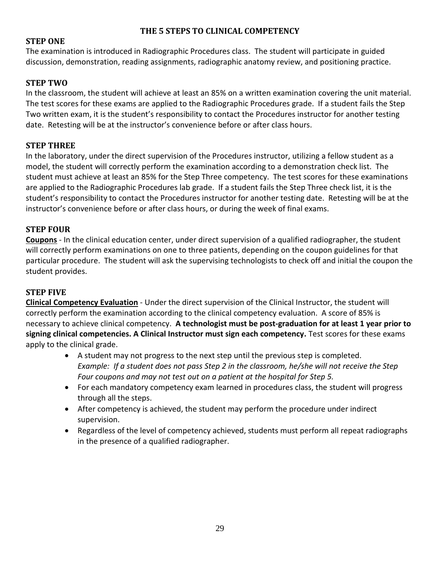#### **THE 5 STEPS TO CLINICAL COMPETENCY**

#### <span id="page-28-0"></span>**STEP ONE**

The examination is introduced in Radiographic Procedures class. The student will participate in guided discussion, demonstration, reading assignments, radiographic anatomy review, and positioning practice.

#### **STEP TWO**

In the classroom, the student will achieve at least an 85% on a written examination covering the unit material. The test scores for these exams are applied to the Radiographic Procedures grade. If a student fails the Step Two written exam, it is the student's responsibility to contact the Procedures instructor for another testing date. Retesting will be at the instructor's convenience before or after class hours.

#### **STEP THREE**

In the laboratory, under the direct supervision of the Procedures instructor, utilizing a fellow student as a model, the student will correctly perform the examination according to a demonstration check list. The student must achieve at least an 85% for the Step Three competency. The test scores for these examinations are applied to the Radiographic Procedures lab grade. If a student fails the Step Three check list, it is the student's responsibility to contact the Procedures instructor for another testing date. Retesting will be at the instructor's convenience before or after class hours, or during the week of final exams.

#### **STEP FOUR**

**Coupons** - In the clinical education center, under direct supervision of a qualified radiographer, the student will correctly perform examinations on one to three patients, depending on the coupon guidelines for that particular procedure. The student will ask the supervising technologists to check off and initial the coupon the student provides.

#### **STEP FIVE**

**Clinical Competency Evaluation** - Under the direct supervision of the Clinical Instructor, the student will correctly perform the examination according to the clinical competency evaluation. A score of 85% is necessary to achieve clinical competency. **A technologist must be post-graduation for at least 1 year prior to signing clinical competencies. A Clinical Instructor must sign each competency.** Test scores for these exams apply to the clinical grade.

- A student may not progress to the next step until the previous step is completed. *Example: If a student does not pass Step 2 in the classroom, he/she will not receive the Step Four coupons and may not test out on a patient at the hospital for Step 5.*
- For each mandatory competency exam learned in procedures class, the student will progress through all the steps.
- After competency is achieved, the student may perform the procedure under indirect supervision.
- Regardless of the level of competency achieved, students must perform all repeat radiographs in the presence of a qualified radiographer.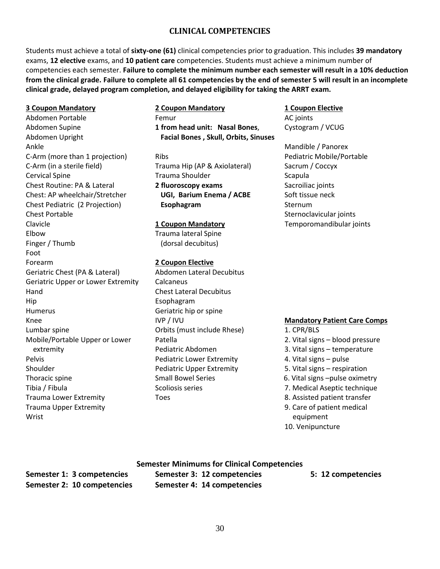#### **CLINICAL COMPETENCIES**

<span id="page-29-0"></span>Students must achieve a total of **sixty-one (61)** clinical competencies prior to graduation. This includes **39 mandatory** exams, **12 elective** exams, and **10 patient care** competencies. Students must achieve a minimum number of competencies each semester. **Failure to complete the minimum number each semester will result in a 10% deduction from the clinical grade. Failure to complete all 61 competencies by the end of semester 5 will result in an incomplete clinical grade, delayed program completion, and delayed eligibility for taking the ARRT exam.**

Ankle **Ankle** Mandible / Panorex C-Arm (more than 1 projection) and Ribs Redistric Mobile/Portable C-Arm (in a sterile field) Trauma Hip (AP & Axiolateral) Sacrum / Coccyx Cervical Spine **Trauma Shoulder** Scapula Shoulder Scapula Chest Routine: PA & Lateral **2 fluoroscopy exams** Sacroiliac joints Chest: AP wheelchair/Stretcher **UGI, Barium Enema / ACBE** Soft tissue neck Chest Pediatric (2 Projection) **Esophagram** Sternum Chest Portable Sternoclavicular joints Chest Portable Sternoclavicular joints Sternoclavicular joints Sternoclavicular joints Sternoclavicular joints Sternoclavicular joints Sternoclavicular joints Sternoclavicular joints Clavicle **1 Coupon Mandatory** Temporomandibular joints Elbow Trauma lateral Spine Finger / Thumb (dorsal decubitus) Foot Forearm **2 Coupon Elective** Geriatric Chest (PA & Lateral) Abdomen Lateral Decubitus Geriatric Upper or Lower Extremity Calcaneus Hand Chest Lateral Decubitus Hip Esophagram Humerus Geriatric hip or spine Knee **IVP / IVU <b>Mandatory Patient Care Comps Mandatory Patient Care Comps** Lumbar spine The Community Critics (must include Rhese) 1. CPR/BLS Mobile/Portable Upper or Lower Patella 2. Vital signs – blood pressure extremity **Extremity** Pediatric Abdomen 3. Vital signs – temperature Pelvis **Pelvis Pediatric Lower Extremity 1. Vital signs – pulse Pediatric Lower Extremity 1. Vital signs – pulse** Shoulder **Pediatric Upper Extremity** 5. Vital signs – respiration of the Rediatric Upper Extremity Thoracic spine Thoracic spine Small Bowel Series 6. Vital signs –pulse oximetry Tibia / Fibula Scoliosis series 7. Medical Aseptic technique Trauma Lower Extremity Toes 8. Assisted patient transfer Trauma Upper Extremity **9.** Care of patient medical Wrist equipment

**3 Coupon Mandatory 2 Coupon Mandatory 1 Coupon Elective** Abdomen Portable **Femur** Femur **AC** joints Abdomen Supine **1 from head unit: Nasal Bones**, Cystogram / VCUG Abdomen Upright **Facial Bones , Skull, Orbits, Sinuses**

- 
- 
- 
- 
- 
- 
- 
- 
- 
- 10. Venipuncture

**Semester 1: 3 competencies Semester 3: 12 competencies 5: 12 competencies Semester 2: 10 competencies Semester 4: 14 competencies**

**Semester Minimums for Clinical Competencies**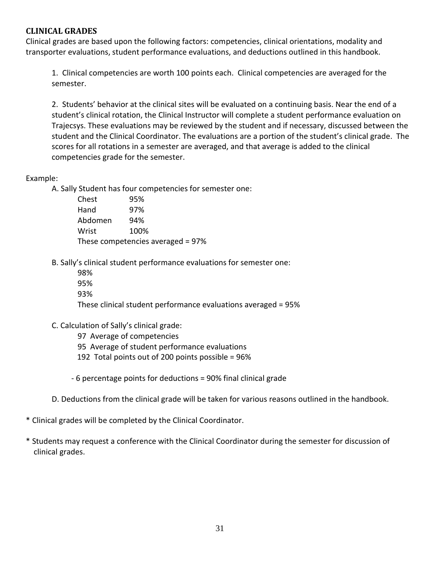#### <span id="page-30-0"></span>**CLINICAL GRADES**

Clinical grades are based upon the following factors: competencies, clinical orientations, modality and transporter evaluations, student performance evaluations, and deductions outlined in this handbook.

1. Clinical competencies are worth 100 points each. Clinical competencies are averaged for the semester.

2. Students' behavior at the clinical sites will be evaluated on a continuing basis. Near the end of a student's clinical rotation, the Clinical Instructor will complete a student performance evaluation on Trajecsys. These evaluations may be reviewed by the student and if necessary, discussed between the student and the Clinical Coordinator. The evaluations are a portion of the student's clinical grade. The scores for all rotations in a semester are averaged, and that average is added to the clinical competencies grade for the semester.

#### Example:

A. Sally Student has four competencies for semester one:

Chest 95% Hand 97% Abdomen 94% Wrist 100% These competencies averaged = 97%

B. Sally's clinical student performance evaluations for semester one:

98% 95% 93%

These clinical student performance evaluations averaged = 95%

- C. Calculation of Sally's clinical grade:
	- 97 Average of competencies
	- 95 Average of student performance evaluations
	- 192 Total points out of 200 points possible = 96%

- 6 percentage points for deductions = 90% final clinical grade

- D. Deductions from the clinical grade will be taken for various reasons outlined in the handbook.
- \* Clinical grades will be completed by the Clinical Coordinator.
- \* Students may request a conference with the Clinical Coordinator during the semester for discussion of clinical grades.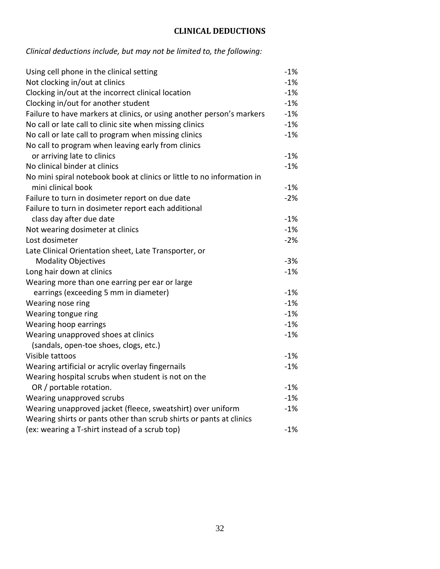### **CLINICAL DEDUCTIONS**

### <span id="page-31-0"></span>*Clinical deductions include, but may not be limited to, the following:*

| Using cell phone in the clinical setting                               | $-1%$ |
|------------------------------------------------------------------------|-------|
| Not clocking in/out at clinics                                         | $-1%$ |
| Clocking in/out at the incorrect clinical location                     | $-1%$ |
| Clocking in/out for another student                                    | $-1%$ |
| Failure to have markers at clinics, or using another person's markers  | $-1%$ |
| No call or late call to clinic site when missing clinics               | $-1%$ |
| No call or late call to program when missing clinics                   | $-1%$ |
| No call to program when leaving early from clinics                     |       |
| or arriving late to clinics                                            | $-1%$ |
| No clinical binder at clinics                                          | $-1%$ |
| No mini spiral notebook book at clinics or little to no information in |       |
| mini clinical book                                                     | $-1%$ |
| Failure to turn in dosimeter report on due date                        | $-2%$ |
| Failure to turn in dosimeter report each additional                    |       |
| class day after due date                                               | $-1%$ |
| Not wearing dosimeter at clinics                                       | $-1%$ |
| Lost dosimeter                                                         | $-2%$ |
| Late Clinical Orientation sheet, Late Transporter, or                  |       |
| <b>Modality Objectives</b>                                             | $-3%$ |
| Long hair down at clinics                                              | $-1%$ |
| Wearing more than one earring per ear or large                         |       |
| earrings (exceeding 5 mm in diameter)                                  | $-1%$ |
| Wearing nose ring                                                      | $-1%$ |
| Wearing tongue ring                                                    | $-1%$ |
| Wearing hoop earrings                                                  | $-1%$ |
| Wearing unapproved shoes at clinics                                    | $-1%$ |
| (sandals, open-toe shoes, clogs, etc.)                                 |       |
| Visible tattoos                                                        | $-1%$ |
| Wearing artificial or acrylic overlay fingernails                      | $-1%$ |
| Wearing hospital scrubs when student is not on the                     |       |
| OR / portable rotation.                                                | $-1%$ |
| Wearing unapproved scrubs                                              | $-1%$ |
| Wearing unapproved jacket (fleece, sweatshirt) over uniform            | $-1%$ |
| Wearing shirts or pants other than scrub shirts or pants at clinics    |       |
| (ex: wearing a T-shirt instead of a scrub top)                         | $-1%$ |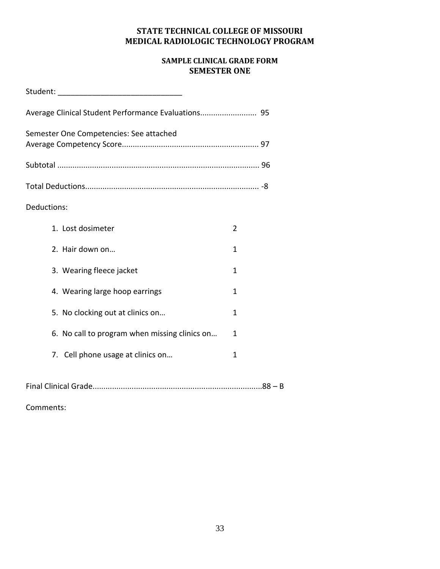#### **STATE TECHNICAL COLLEGE OF MISSOURI MEDICAL RADIOLOGIC TECHNOLOGY PROGRAM**

#### **SAMPLE CLINICAL GRADE FORM SEMESTER ONE**

<span id="page-32-0"></span>

| Student: the contract of the contract of the contract of the contract of the contract of the contract of the contract of the contract of the contract of the contract of the contract of the contract of the contract of the c |   |
|--------------------------------------------------------------------------------------------------------------------------------------------------------------------------------------------------------------------------------|---|
| Average Clinical Student Performance Evaluations 95                                                                                                                                                                            |   |
| Semester One Competencies: See attached                                                                                                                                                                                        |   |
|                                                                                                                                                                                                                                |   |
|                                                                                                                                                                                                                                |   |
| Deductions:                                                                                                                                                                                                                    |   |
| 1. Lost dosimeter                                                                                                                                                                                                              | 2 |
| 2. Hair down on                                                                                                                                                                                                                | 1 |
| 3. Wearing fleece jacket                                                                                                                                                                                                       | 1 |
| 4. Wearing large hoop earrings                                                                                                                                                                                                 | 1 |
| 5. No clocking out at clinics on                                                                                                                                                                                               | 1 |
| 6. No call to program when missing clinics on                                                                                                                                                                                  | 1 |
| 7. Cell phone usage at clinics on                                                                                                                                                                                              | 1 |
|                                                                                                                                                                                                                                |   |

Final Clinical Grade..............................................................................88 – B

Comments: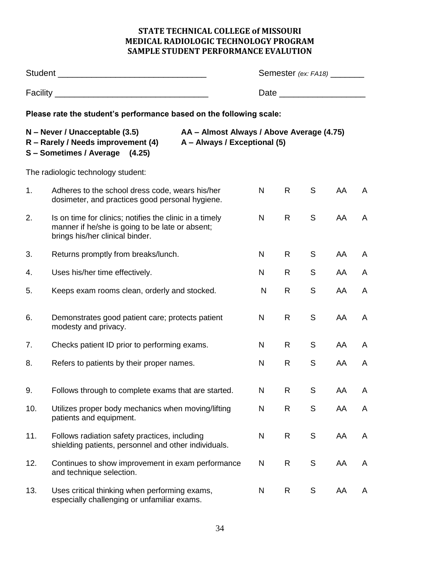#### **STATE TECHNICAL COLLEGE of MISSOURI MEDICAL RADIOLOGIC TECHNOLOGY PROGRAM SAMPLE STUDENT PERFORMANCE EVALUTION**

<span id="page-33-0"></span>

|     |                                                                                                                                                                                     | <b>Semester</b> (ex: FA18) _________ |              |               |    |   |  |
|-----|-------------------------------------------------------------------------------------------------------------------------------------------------------------------------------------|--------------------------------------|--------------|---------------|----|---|--|
|     |                                                                                                                                                                                     |                                      |              |               |    |   |  |
|     | Please rate the student's performance based on the following scale:                                                                                                                 |                                      |              |               |    |   |  |
|     | N – Never / Unacceptable (3.5)<br>AA - Almost Always / Above Average (4.75)<br>R - Rarely / Needs improvement (4)<br>A - Always / Exceptional (5)<br>S - Sometimes / Average (4.25) |                                      |              |               |    |   |  |
|     | The radiologic technology student:                                                                                                                                                  |                                      |              |               |    |   |  |
| 1.  | Adheres to the school dress code, wears his/her<br>dosimeter, and practices good personal hygiene.                                                                                  | N                                    | R            | S             | AA | A |  |
| 2.  | Is on time for clinics; notifies the clinic in a timely<br>manner if he/she is going to be late or absent;<br>brings his/her clinical binder.                                       | N                                    | $\mathsf{R}$ | S             | AA | A |  |
| 3.  | Returns promptly from breaks/lunch.                                                                                                                                                 | N                                    | R            | S             | AA | A |  |
| 4.  | Uses his/her time effectively.                                                                                                                                                      | N                                    | R            | S             | AA | A |  |
| 5.  | Keeps exam rooms clean, orderly and stocked.                                                                                                                                        | N                                    | R            | S             | AA | A |  |
| 6.  | Demonstrates good patient care; protects patient<br>modesty and privacy.                                                                                                            | N                                    | R            | S             | AA | A |  |
| 7.  | Checks patient ID prior to performing exams.                                                                                                                                        | N                                    | R            | S             | AA | A |  |
| 8.  | Refers to patients by their proper names.                                                                                                                                           | N                                    | R            | ${\mathsf S}$ | AA | A |  |
| 9.  | Follows through to complete exams that are started.                                                                                                                                 | N                                    | R            | S             | AA | A |  |
| 10. | Utilizes proper body mechanics when moving/lifting<br>patients and equipment.                                                                                                       | N                                    | R            | S             | AA | A |  |
| 11. | Follows radiation safety practices, including<br>shielding patients, personnel and other individuals.                                                                               | $\mathsf{N}$                         | R            | S             | AA | A |  |
| 12. | Continues to show improvement in exam performance<br>and technique selection.                                                                                                       | N                                    | R            | ${\mathsf S}$ | AA | A |  |
| 13. | Uses critical thinking when performing exams,<br>especially challenging or unfamiliar exams.                                                                                        | N                                    | R            | $\mathsf S$   | AA | A |  |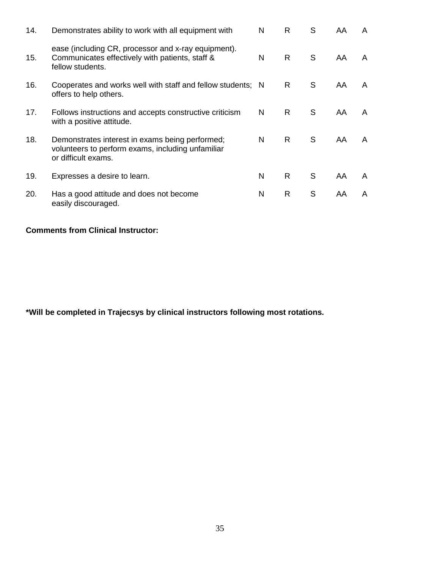| 14. | Demonstrates ability to work with all equipment with                                                                        | N | R  | S | AA  | A |
|-----|-----------------------------------------------------------------------------------------------------------------------------|---|----|---|-----|---|
| 15. | ease (including CR, processor and x-ray equipment).<br>Communicates effectively with patients, staff &<br>fellow students.  | N | R. | S | AA. | A |
| 16. | Cooperates and works well with staff and fellow students; N<br>offers to help others.                                       |   | R  | S | AA  | A |
| 17. | Follows instructions and accepts constructive criticism<br>with a positive attitude.                                        | N | R. | S | AA  | A |
| 18. | Demonstrates interest in exams being performed;<br>volunteers to perform exams, including unfamiliar<br>or difficult exams. | N | R. | S | AA  | A |
| 19. | Expresses a desire to learn.                                                                                                | N | R  | S | AA  | A |
| 20. | Has a good attitude and does not become<br>easily discouraged.                                                              | N | R  | S | AA  | A |

#### **Comments from Clinical Instructor:**

**\*Will be completed in Trajecsys by clinical instructors following most rotations.**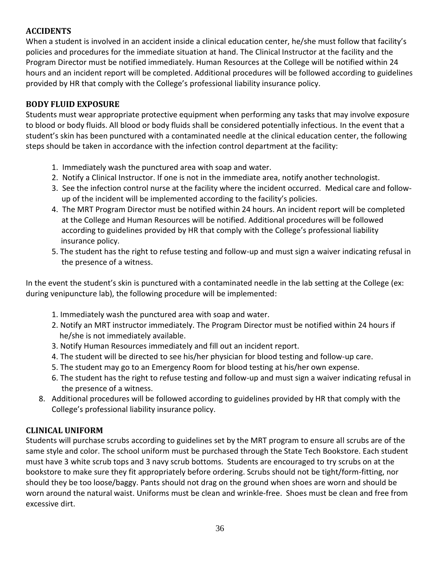#### <span id="page-35-0"></span>**ACCIDENTS**

When a student is involved in an accident inside a clinical education center, he/she must follow that facility's policies and procedures for the immediate situation at hand. The Clinical Instructor at the facility and the Program Director must be notified immediately. Human Resources at the College will be notified within 24 hours and an incident report will be completed. Additional procedures will be followed according to guidelines provided by HR that comply with the College's professional liability insurance policy.

#### <span id="page-35-1"></span>**BODY FLUID EXPOSURE**

Students must wear appropriate protective equipment when performing any tasks that may involve exposure to blood or body fluids. All blood or body fluids shall be considered potentially infectious. In the event that a student's skin has been punctured with a contaminated needle at the clinical education center, the following steps should be taken in accordance with the infection control department at the facility:

- 1. Immediately wash the punctured area with soap and water.
- 2. Notify a Clinical Instructor. If one is not in the immediate area, notify another technologist.
- 3. See the infection control nurse at the facility where the incident occurred. Medical care and follow up of the incident will be implemented according to the facility's policies.
- 4. The MRT Program Director must be notified within 24 hours. An incident report will be completed at the College and Human Resources will be notified. Additional procedures will be followed according to guidelines provided by HR that comply with the College's professional liability insurance policy.
- 5. The student has the right to refuse testing and follow-up and must sign a waiver indicating refusal in the presence of a witness.

In the event the student's skin is punctured with a contaminated needle in the lab setting at the College (ex: during venipuncture lab), the following procedure will be implemented:

- 1. Immediately wash the punctured area with soap and water.
- 2. Notify an MRT instructor immediately. The Program Director must be notified within 24 hours if he/she is not immediately available.
- 3. Notify Human Resources immediately and fill out an incident report.
- 4. The student will be directed to see his/her physician for blood testing and follow-up care.
- 5. The student may go to an Emergency Room for blood testing at his/her own expense.
- 6. The student has the right to refuse testing and follow-up and must sign a waiver indicating refusal in the presence of a witness.
- 8. Additional procedures will be followed according to guidelines provided by HR that comply with the College's professional liability insurance policy.

#### <span id="page-35-2"></span>**CLINICAL UNIFORM**

Students will purchase scrubs according to guidelines set by the MRT program to ensure all scrubs are of the same style and color. The school uniform must be purchased through the State Tech Bookstore. Each student must have 3 white scrub tops and 3 navy scrub bottoms. Students are encouraged to try scrubs on at the bookstore to make sure they fit appropriately before ordering. Scrubs should not be tight/form-fitting, nor should they be too loose/baggy. Pants should not drag on the ground when shoes are worn and should be worn around the natural waist. Uniforms must be clean and wrinkle-free. Shoes must be clean and free from excessive dirt.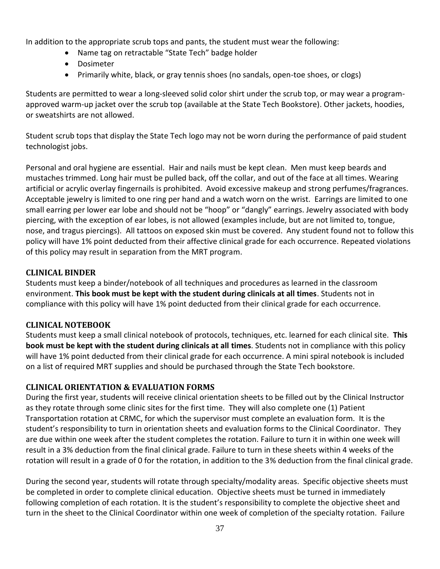In addition to the appropriate scrub tops and pants, the student must wear the following:

- Name tag on retractable "State Tech" badge holder
- Dosimeter
- Primarily white, black, or gray tennis shoes (no sandals, open-toe shoes, or clogs)

Students are permitted to wear a long-sleeved solid color shirt under the scrub top, or may wear a programapproved warm-up jacket over the scrub top (available at the State Tech Bookstore). Other jackets, hoodies, or sweatshirts are not allowed.

Student scrub tops that display the State Tech logo may not be worn during the performance of paid student technologist jobs.

Personal and oral hygiene are essential. Hair and nails must be kept clean. Men must keep beards and mustaches trimmed. Long hair must be pulled back, off the collar, and out of the face at all times. Wearing artificial or acrylic overlay fingernails is prohibited. Avoid excessive makeup and strong perfumes/fragrances. Acceptable jewelry is limited to one ring per hand and a watch worn on the wrist. Earrings are limited to one small earring per lower ear lobe and should not be "hoop" or "dangly" earrings. Jewelry associated with body piercing, with the exception of ear lobes, is not allowed (examples include, but are not limited to, tongue, nose, and tragus piercings). All tattoos on exposed skin must be covered. Any student found not to follow this policy will have 1% point deducted from their affective clinical grade for each occurrence. Repeated violations of this policy may result in separation from the MRT program.

#### <span id="page-36-0"></span>**CLINICAL BINDER**

Students must keep a binder/notebook of all techniques and procedures as learned in the classroom environment. **This book must be kept with the student during clinicals at all times**. Students not in compliance with this policy will have 1% point deducted from their clinical grade for each occurrence.

#### <span id="page-36-1"></span>**CLINICAL NOTEBOOK**

Students must keep a small clinical notebook of protocols, techniques, etc. learned for each clinical site. **This book must be kept with the student during clinicals at all times**. Students not in compliance with this policy will have 1% point deducted from their clinical grade for each occurrence. A mini spiral notebook is included on a list of required MRT supplies and should be purchased through the State Tech bookstore.

#### <span id="page-36-2"></span>**CLINICAL ORIENTATION & EVALUATION FORMS**

During the first year, students will receive clinical orientation sheets to be filled out by the Clinical Instructor as they rotate through some clinic sites for the first time. They will also complete one (1) Patient Transportation rotation at CRMC, for which the supervisor must complete an evaluation form. It is the student's responsibility to turn in orientation sheets and evaluation forms to the Clinical Coordinator. They are due within one week after the student completes the rotation. Failure to turn it in within one week will result in a 3% deduction from the final clinical grade. Failure to turn in these sheets within 4 weeks of the rotation will result in a grade of 0 for the rotation, in addition to the 3% deduction from the final clinical grade.

During the second year, students will rotate through specialty/modality areas. Specific objective sheets must be completed in order to complete clinical education. Objective sheets must be turned in immediately following completion of each rotation. It is the student's responsibility to complete the objective sheet and turn in the sheet to the Clinical Coordinator within one week of completion of the specialty rotation. Failure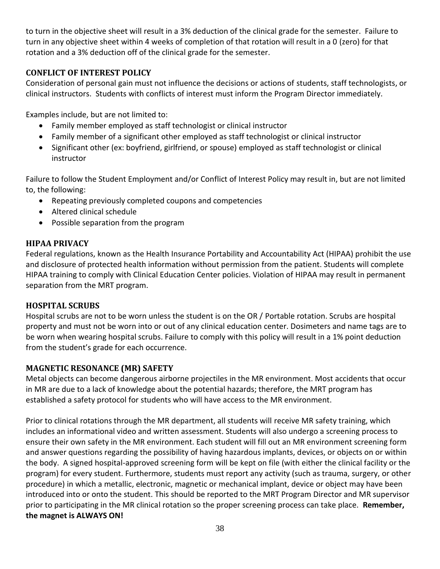to turn in the objective sheet will result in a 3% deduction of the clinical grade for the semester. Failure to turn in any objective sheet within 4 weeks of completion of that rotation will result in a 0 (zero) for that rotation and a 3% deduction off of the clinical grade for the semester.

#### <span id="page-37-0"></span>**CONFLICT OF INTEREST POLICY**

Consideration of personal gain must not influence the decisions or actions of students, staff technologists, or clinical instructors. Students with conflicts of interest must inform the Program Director immediately.

Examples include, but are not limited to:

- Family member employed as staff technologist or clinical instructor
- Family member of a significant other employed as staff technologist or clinical instructor
- Significant other (ex: boyfriend, girlfriend, or spouse) employed as staff technologist or clinical instructor

Failure to follow the Student Employment and/or Conflict of Interest Policy may result in, but are not limited to, the following:

- Repeating previously completed coupons and competencies
- Altered clinical schedule
- Possible separation from the program

#### <span id="page-37-1"></span>**HIPAA PRIVACY**

Federal regulations, known as the Health Insurance Portability and Accountability Act (HIPAA) prohibit the use and disclosure of protected health information without permission from the patient. Students will complete HIPAA training to comply with Clinical Education Center policies. Violation of HIPAA may result in permanent separation from the MRT program.

#### <span id="page-37-2"></span>**HOSPITAL SCRUBS**

Hospital scrubs are not to be worn unless the student is on the OR / Portable rotation. Scrubs are hospital property and must not be worn into or out of any clinical education center. Dosimeters and name tags are to be worn when wearing hospital scrubs. Failure to comply with this policy will result in a 1% point deduction from the student's grade for each occurrence.

#### <span id="page-37-3"></span>**MAGNETIC RESONANCE (MR) SAFETY**

Metal objects can become dangerous airborne projectiles in the MR environment. Most accidents that occur in MR are due to a lack of knowledge about the potential hazards; therefore, the MRT program has established a safety protocol for students who will have access to the MR environment.

Prior to clinical rotations through the MR department, all students will receive MR safety training, which includes an informational video and written assessment. Students will also undergo a screening process to ensure their own safety in the MR environment. Each student will fill out an MR environment screening form and answer questions regarding the possibility of having hazardous implants, devices, or objects on or within the body. A signed hospital-approved screening form will be kept on file (with either the clinical facility or the program) for every student. Furthermore, students must report any activity (such as trauma, surgery, or other procedure) in which a metallic, electronic, magnetic or mechanical implant, device or object may have been introduced into or onto the student. This should be reported to the MRT Program Director and MR supervisor prior to participating in the MR clinical rotation so the proper screening process can take place. **Remember, the magnet is ALWAYS ON!**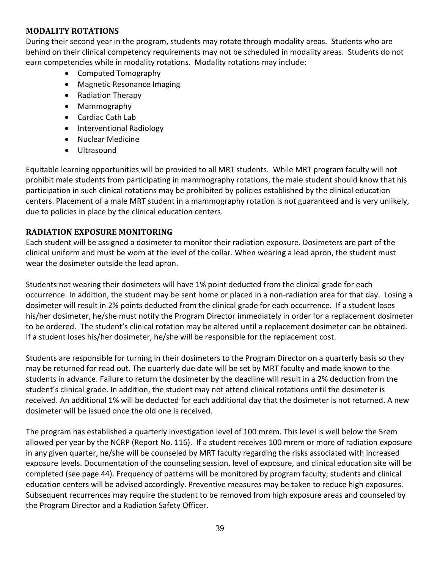#### <span id="page-38-0"></span>**MODALITY ROTATIONS**

During their second year in the program, students may rotate through modality areas. Students who are behind on their clinical competency requirements may not be scheduled in modality areas. Students do not earn competencies while in modality rotations. Modality rotations may include:

- Computed Tomography
- Magnetic Resonance Imaging
- Radiation Therapy
- Mammography
- Cardiac Cath Lab
- Interventional Radiology
- Nuclear Medicine
- Ultrasound

Equitable learning opportunities will be provided to all MRT students. While MRT program faculty will not prohibit male students from participating in mammography rotations, the male student should know that his participation in such clinical rotations may be prohibited by policies established by the clinical education centers. Placement of a male MRT student in a mammography rotation is not guaranteed and is very unlikely, due to policies in place by the clinical education centers.

#### <span id="page-38-1"></span>**RADIATION EXPOSURE MONITORING**

Each student will be assigned a dosimeter to monitor their radiation exposure. Dosimeters are part of the clinical uniform and must be worn at the level of the collar. When wearing a lead apron, the student must wear the dosimeter outside the lead apron.

Students not wearing their dosimeters will have 1% point deducted from the clinical grade for each occurrence. In addition, the student may be sent home or placed in a non-radiation area for that day. Losing a dosimeter will result in 2% points deducted from the clinical grade for each occurrence. If a student loses his/her dosimeter, he/she must notify the Program Director immediately in order for a replacement dosimeter to be ordered. The student's clinical rotation may be altered until a replacement dosimeter can be obtained. If a student loses his/her dosimeter, he/she will be responsible for the replacement cost.

Students are responsible for turning in their dosimeters to the Program Director on a quarterly basis so they may be returned for read out. The quarterly due date will be set by MRT faculty and made known to the students in advance. Failure to return the dosimeter by the deadline will result in a 2% deduction from the student's clinical grade. In addition, the student may not attend clinical rotations until the dosimeter is received. An additional 1% will be deducted for each additional day that the dosimeter is not returned. A new dosimeter will be issued once the old one is received.

The program has established a quarterly investigation level of 100 mrem. This level is well below the 5rem allowed per year by the NCRP (Report No. 116). If a student receives 100 mrem or more of radiation exposure in any given quarter, he/she will be counseled by MRT faculty regarding the risks associated with increased exposure levels. Documentation of the counseling session, level of exposure, and clinical education site will be completed (see page 44). Frequency of patterns will be monitored by program faculty; students and clinical education centers will be advised accordingly. Preventive measures may be taken to reduce high exposures. Subsequent recurrences may require the student to be removed from high exposure areas and counseled by the Program Director and a Radiation Safety Officer.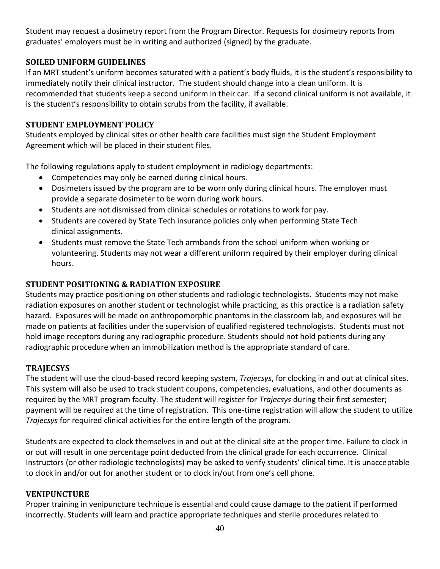Student may request a dosimetry report from the Program Director. Requests for dosimetry reports from graduates' employers must be in writing and authorized (signed) by the graduate.

#### <span id="page-39-0"></span>**SOILED UNIFORM GUIDELINES**

If an MRT student's uniform becomes saturated with a patient's body fluids, it is the student's responsibility to immediately notify their clinical instructor. The student should change into a clean uniform. It is recommended that students keep a second uniform in their car. If a second clinical uniform is not available, it is the student's responsibility to obtain scrubs from the facility, if available.

#### <span id="page-39-1"></span>**STUDENT EMPLOYMENT POLICY**

Students employed by clinical sites or other health care facilities must sign the Student Employment Agreement which will be placed in their student files.

The following regulations apply to student employment in radiology departments:

- Competencies may only be earned during clinical hours.
- Dosimeters issued by the program are to be worn only during clinical hours. The employer must provide a separate dosimeter to be worn during work hours.
- Students are not dismissed from clinical schedules or rotations to work for pay.
- Students are covered by State Tech insurance policies only when performing State Tech clinical assignments.
- Students must remove the State Tech armbands from the school uniform when working or volunteering. Students may not wear a different uniform required by their employer during clinical hours.

#### <span id="page-39-2"></span>**STUDENT POSITIONING & RADIATION EXPOSURE**

Students may practice positioning on other students and radiologic technologists. Students may not make radiation exposures on another student or technologist while practicing, as this practice is a radiation safety hazard. Exposures will be made on anthropomorphic phantoms in the classroom lab, and exposures will be made on patients at facilities under the supervision of qualified registered technologists. Students must not hold image receptors during any radiographic procedure. Students should not hold patients during any radiographic procedure when an immobilization method is the appropriate standard of care.

#### <span id="page-39-3"></span>**TRAJECSYS**

The student will use the cloud-based record keeping system, *Trajecsys*, for clocking in and out at clinical sites. This system will also be used to track student coupons, competencies, evaluations, and other documents as required by the MRT program faculty. The student will register for *Trajecsys* during their first semester; payment will be required at the time of registration. This one-time registration will allow the student to utilize *Trajecsys* for required clinical activities for the entire length of the program.

Students are expected to clock themselves in and out at the clinical site at the proper time. Failure to clock in or out will result in one percentage point deducted from the clinical grade for each occurrence. Clinical Instructors (or other radiologic technologists) may be asked to verify students' clinical time. It is unacceptable to clock in and/or out for another student or to clock in/out from one's cell phone.

#### <span id="page-39-4"></span>**VENIPUNCTURE**

Proper training in venipuncture technique is essential and could cause damage to the patient if performed incorrectly. Students will learn and practice appropriate techniques and sterile procedures related to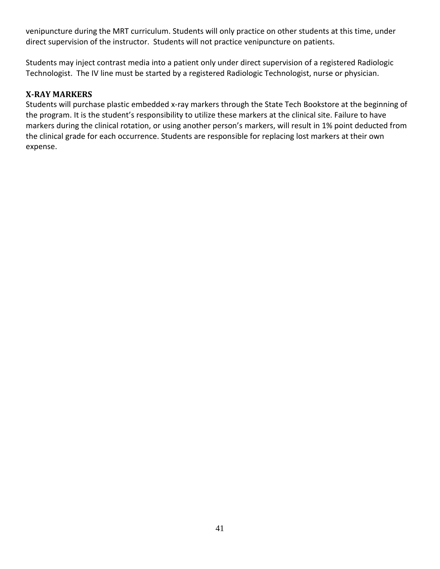venipuncture during the MRT curriculum. Students will only practice on other students at this time, under direct supervision of the instructor. Students will not practice venipuncture on patients.

Students may inject contrast media into a patient only under direct supervision of a registered Radiologic Technologist. The IV line must be started by a registered Radiologic Technologist, nurse or physician.

#### <span id="page-40-0"></span>**X-RAY MARKERS**

Students will purchase plastic embedded x-ray markers through the State Tech Bookstore at the beginning of the program. It is the student's responsibility to utilize these markers at the clinical site. Failure to have markers during the clinical rotation, or using another person's markers, will result in 1% point deducted from the clinical grade for each occurrence. Students are responsible for replacing lost markers at their own expense.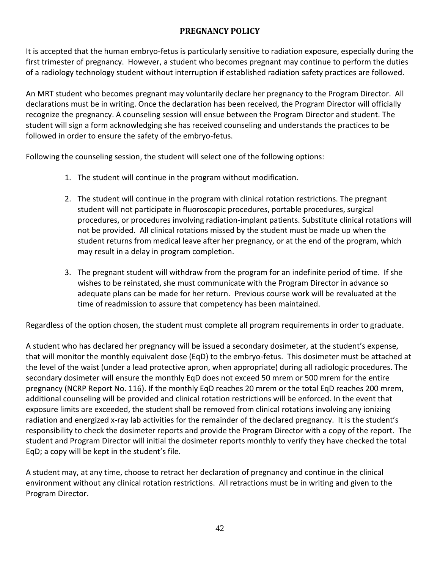#### **PREGNANCY POLICY**

<span id="page-41-0"></span>It is accepted that the human embryo-fetus is particularly sensitive to radiation exposure, especially during the first trimester of pregnancy. However, a student who becomes pregnant may continue to perform the duties of a radiology technology student without interruption if established radiation safety practices are followed.

An MRT student who becomes pregnant may voluntarily declare her pregnancy to the Program Director. All declarations must be in writing. Once the declaration has been received, the Program Director will officially recognize the pregnancy. A counseling session will ensue between the Program Director and student. The student will sign a form acknowledging she has received counseling and understands the practices to be followed in order to ensure the safety of the embryo-fetus.

Following the counseling session, the student will select one of the following options:

- 1. The student will continue in the program without modification.
- 2. The student will continue in the program with clinical rotation restrictions. The pregnant student will not participate in fluoroscopic procedures, portable procedures, surgical procedures, or procedures involving radiation-implant patients. Substitute clinical rotations will not be provided. All clinical rotations missed by the student must be made up when the student returns from medical leave after her pregnancy, or at the end of the program, which may result in a delay in program completion.
- 3. The pregnant student will withdraw from the program for an indefinite period of time. If she wishes to be reinstated, she must communicate with the Program Director in advance so adequate plans can be made for her return. Previous course work will be revaluated at the time of readmission to assure that competency has been maintained.

Regardless of the option chosen, the student must complete all program requirements in order to graduate.

A student who has declared her pregnancy will be issued a secondary dosimeter, at the student's expense, that will monitor the monthly equivalent dose (EqD) to the embryo-fetus. This dosimeter must be attached at the level of the waist (under a lead protective apron, when appropriate) during all radiologic procedures. The secondary dosimeter will ensure the monthly EqD does not exceed 50 mrem or 500 mrem for the entire pregnancy (NCRP Report No. 116). If the monthly EqD reaches 20 mrem or the total EqD reaches 200 mrem, additional counseling will be provided and clinical rotation restrictions will be enforced. In the event that exposure limits are exceeded, the student shall be removed from clinical rotations involving any ionizing radiation and energized x-ray lab activities for the remainder of the declared pregnancy. It is the student's responsibility to check the dosimeter reports and provide the Program Director with a copy of the report. The student and Program Director will initial the dosimeter reports monthly to verify they have checked the total EqD; a copy will be kept in the student's file.

A student may, at any time, choose to retract her declaration of pregnancy and continue in the clinical environment without any clinical rotation restrictions. All retractions must be in writing and given to the Program Director.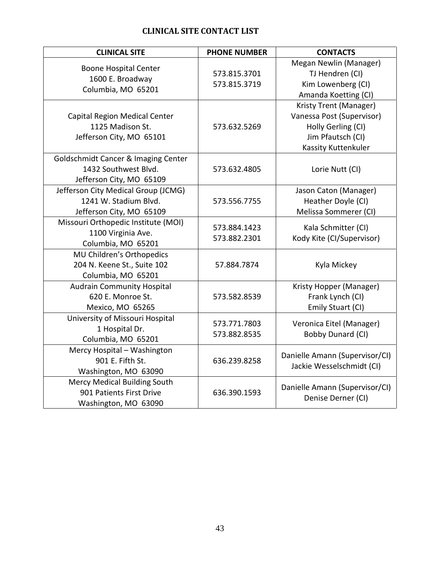### **CLINICAL SITE CONTACT LIST**

<span id="page-42-0"></span>

| <b>CLINICAL SITE</b>                                                                     | <b>PHONE NUMBER</b>          | <b>CONTACTS</b>                                                                                                       |
|------------------------------------------------------------------------------------------|------------------------------|-----------------------------------------------------------------------------------------------------------------------|
| <b>Boone Hospital Center</b><br>1600 E. Broadway<br>Columbia, MO 65201                   | 573.815.3701<br>573.815.3719 | Megan Newlin (Manager)<br>TJ Hendren (CI)<br>Kim Lowenberg (CI)<br>Amanda Koetting (CI)                               |
| Capital Region Medical Center<br>1125 Madison St.<br>Jefferson City, MO 65101            | 573.632.5269                 | Kristy Trent (Manager)<br>Vanessa Post (Supervisor)<br>Holly Gerling (CI)<br>Jim Pfautsch (CI)<br>Kassity Kuttenkuler |
| Goldschmidt Cancer & Imaging Center<br>1432 Southwest Blvd.<br>Jefferson City, MO 65109  | 573.632.4805                 | Lorie Nutt (CI)                                                                                                       |
| Jefferson City Medical Group (JCMG)<br>1241 W. Stadium Blvd.<br>Jefferson City, MO 65109 | 573.556.7755                 | Jason Caton (Manager)<br>Heather Doyle (CI)<br>Melissa Sommerer (CI)                                                  |
| Missouri Orthopedic Institute (MOI)<br>1100 Virginia Ave.<br>Columbia, MO 65201          | 573.884.1423<br>573.882.2301 | Kala Schmitter (CI)<br>Kody Kite (CI/Supervisor)                                                                      |
| MU Children's Orthopedics<br>204 N. Keene St., Suite 102<br>Columbia, MO 65201           | 57.884.7874                  | Kyla Mickey                                                                                                           |
| <b>Audrain Community Hospital</b><br>620 E. Monroe St.<br>Mexico, MO 65265               | 573.582.8539                 | Kristy Hopper (Manager)<br>Frank Lynch (CI)<br>Emily Stuart (CI)                                                      |
| University of Missouri Hospital<br>1 Hospital Dr.<br>Columbia, MO 65201                  | 573.771.7803<br>573.882.8535 | Veronica Eitel (Manager)<br><b>Bobby Dunard (CI)</b>                                                                  |
| Mercy Hospital - Washington<br>901 E. Fifth St.<br>Washington, MO 63090                  | 636.239.8258                 | Danielle Amann (Supervisor/CI)<br>Jackie Wesselschmidt (CI)                                                           |
| <b>Mercy Medical Building South</b><br>901 Patients First Drive<br>Washington, MO 63090  | 636.390.1593                 | Danielle Amann (Supervisor/CI)<br>Denise Derner (CI)                                                                  |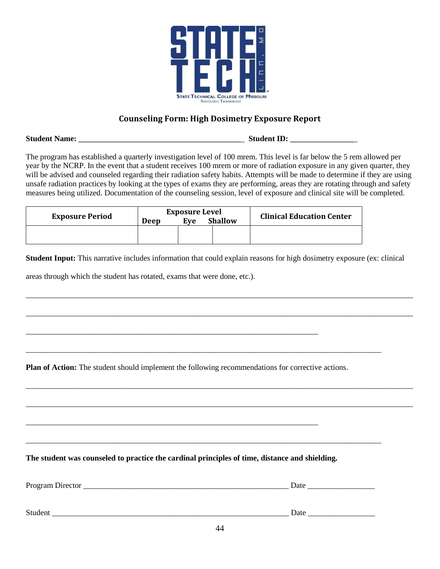

#### **Counseling Form: High Dosimetry Exposure Report**

<span id="page-43-0"></span>**Student Name:** \_\_\_\_\_\_\_\_\_\_\_\_\_\_\_\_\_\_\_\_\_\_\_\_\_\_\_\_\_\_\_\_\_\_\_\_\_\_\_\_\_ **Student ID:** \_\_\_\_\_\_\_\_\_\_\_\_\_\_\_\_\_

The program has established a quarterly investigation level of 100 mrem. This level is far below the 5 rem allowed per year by the NCRP. In the event that a student receives 100 mrem or more of radiation exposure in any given quarter, they will be advised and counseled regarding their radiation safety habits. Attempts will be made to determine if they are using unsafe radiation practices by looking at the types of exams they are performing, areas they are rotating through and safety measures being utilized. Documentation of the counseling session, level of exposure and clinical site will be completed.

| <b>Exposure Period</b> | <b>Exposure Level</b><br><b>Shallow</b><br>Eve<br>Deep |  |  | <b>Clinical Education Center</b> |
|------------------------|--------------------------------------------------------|--|--|----------------------------------|
|                        |                                                        |  |  |                                  |

**Student Input:** This narrative includes information that could explain reasons for high dosimetry exposure (ex: clinical

\_\_\_\_\_\_\_\_\_\_\_\_\_\_\_\_\_\_\_\_\_\_\_\_\_\_\_\_\_\_\_\_\_\_\_\_\_\_\_\_\_\_\_\_\_\_\_\_\_\_\_\_\_\_\_\_\_\_\_\_\_\_\_\_\_\_\_\_\_\_\_\_\_\_\_\_\_\_\_\_\_\_\_\_\_\_\_\_\_\_\_\_\_\_\_\_\_\_

\_\_\_\_\_\_\_\_\_\_\_\_\_\_\_\_\_\_\_\_\_\_\_\_\_\_\_\_\_\_\_\_\_\_\_\_\_\_\_\_\_\_\_\_\_\_\_\_\_\_\_\_\_\_\_\_\_\_\_\_\_\_\_\_\_\_\_\_\_\_\_\_\_\_\_\_\_\_\_\_\_\_\_\_\_\_\_\_\_\_\_\_\_\_\_\_\_\_

\_\_\_\_\_\_\_\_\_\_\_\_\_\_\_\_\_\_\_\_\_\_\_\_\_\_\_\_\_\_\_\_\_\_\_\_\_\_\_\_\_\_\_\_\_\_\_\_\_\_\_\_\_\_\_\_\_\_\_\_\_\_\_\_\_\_\_\_\_\_\_\_\_\_\_\_\_\_\_\_\_\_\_\_\_\_\_\_\_\_\_\_\_\_\_\_\_\_

\_\_\_\_\_\_\_\_\_\_\_\_\_\_\_\_\_\_\_\_\_\_\_\_\_\_\_\_\_\_\_\_\_\_\_\_\_\_\_\_\_\_\_\_\_\_\_\_\_\_\_\_\_\_\_\_\_\_\_\_\_\_\_\_\_\_\_\_\_\_\_\_\_\_\_\_\_\_\_\_\_\_\_\_\_\_\_\_\_\_\_\_\_\_\_\_\_\_

areas through which the student has rotated, exams that were done, etc.).

**Plan of Action:** The student should implement the following recommendations for corrective actions.

\_\_\_\_\_\_\_\_\_\_\_\_\_\_\_\_\_\_\_\_\_\_\_\_\_\_\_\_\_\_\_\_\_\_\_\_\_\_\_\_\_\_\_\_\_\_\_\_\_\_\_\_\_\_\_\_\_\_\_\_\_\_\_\_\_\_\_\_\_\_\_\_\_\_\_\_\_\_\_\_\_\_\_\_\_\_\_\_\_\_

\_\_\_\_\_\_\_\_\_\_\_\_\_\_\_\_\_\_\_\_\_\_\_\_\_\_\_\_\_\_\_\_\_\_\_\_\_\_\_\_\_\_\_\_\_\_\_\_\_\_\_\_\_\_\_\_\_\_\_\_\_\_\_\_\_\_\_\_\_\_\_\_\_\_

**The student was counseled to practice the cardinal principles of time, distance and shielding.** 

\_\_\_\_\_\_\_\_\_\_\_\_\_\_\_\_\_\_\_\_\_\_\_\_\_\_\_\_\_\_\_\_\_\_\_\_\_\_\_\_\_\_\_\_\_\_\_\_\_\_\_\_\_\_\_\_\_\_\_\_\_\_\_\_\_\_\_\_\_\_\_\_\_\_

| Program<br>лυπ<br>$\ldots$ DHVC. | $\mathbf{h}$ |
|----------------------------------|--------------|
|                                  |              |
|                                  |              |

\_\_\_\_\_\_\_\_\_\_\_\_\_\_\_\_\_\_\_\_\_\_\_\_\_\_\_\_\_\_\_\_\_\_\_\_\_\_\_\_\_\_\_\_\_\_\_\_\_\_\_\_\_\_\_\_\_\_\_\_\_\_\_\_\_\_\_\_\_\_\_\_\_\_\_\_\_\_\_\_\_\_\_\_\_\_\_\_\_\_

Student \_\_\_\_\_\_\_\_\_\_\_\_\_\_\_\_\_\_\_\_\_\_\_\_\_\_\_\_\_\_\_\_\_\_\_\_\_\_\_\_\_\_\_\_\_\_\_\_\_\_\_\_\_\_\_\_\_\_\_\_ Date \_\_\_\_\_\_\_\_\_\_\_\_\_\_\_\_\_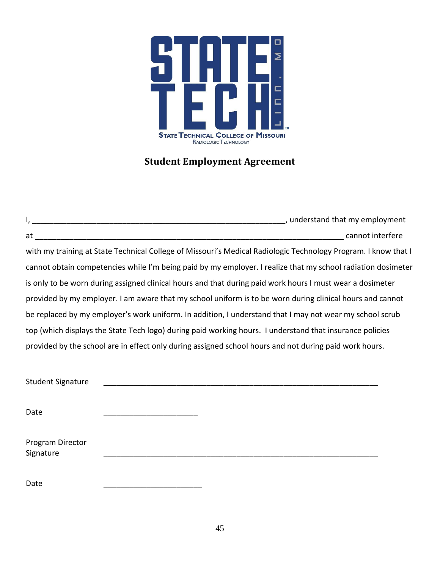

## **Student Employment Agreement**

<span id="page-44-0"></span>

|                          | with my training at State Technical College of Missouri's Medical Radiologic Technology Program. I know that I |  |
|--------------------------|----------------------------------------------------------------------------------------------------------------|--|
|                          | cannot obtain competencies while I'm being paid by my employer. I realize that my school radiation dosimeter   |  |
|                          | is only to be worn during assigned clinical hours and that during paid work hours I must wear a dosimeter      |  |
|                          | provided by my employer. I am aware that my school uniform is to be worn during clinical hours and cannot      |  |
|                          | be replaced by my employer's work uniform. In addition, I understand that I may not wear my school scrub       |  |
|                          | top (which displays the State Tech logo) during paid working hours. I understand that insurance policies       |  |
|                          | provided by the school are in effect only during assigned school hours and not during paid work hours.         |  |
|                          |                                                                                                                |  |
| <b>Student Signature</b> |                                                                                                                |  |
|                          |                                                                                                                |  |
| Date                     |                                                                                                                |  |
|                          |                                                                                                                |  |
| Program Director         |                                                                                                                |  |
| Signature                |                                                                                                                |  |
|                          |                                                                                                                |  |
| Date                     |                                                                                                                |  |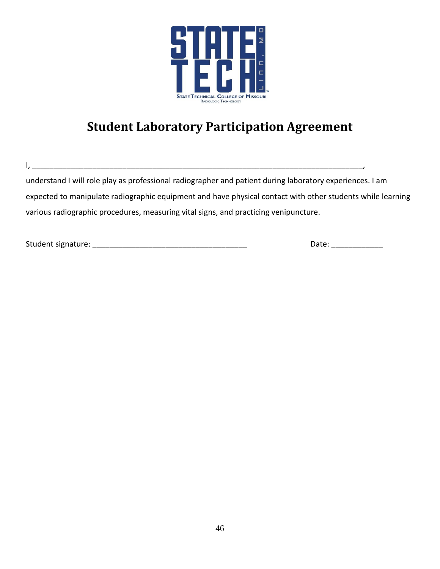

# **Student Laboratory Participation Agreement**

understand I will role play as professional radiographer and patient during laboratory experiences. I am expected to manipulate radiographic equipment and have physical contact with other students while learning various radiographic procedures, measuring vital signs, and practicing venipuncture.

<span id="page-45-0"></span>I, \_\_\_\_\_\_\_\_\_\_\_\_\_\_\_\_\_\_\_\_\_\_\_\_\_\_\_\_\_\_\_\_\_\_\_\_\_\_\_\_\_\_\_\_\_\_\_\_\_\_\_\_\_\_\_\_\_\_\_\_\_\_\_\_\_\_\_\_\_\_\_\_\_\_\_\_\_,

Student signature: \_\_\_\_\_\_\_\_\_\_\_\_\_\_\_\_\_\_\_\_\_\_\_\_\_\_\_\_\_\_\_\_\_\_\_\_ Date: \_\_\_\_\_\_\_\_\_\_\_\_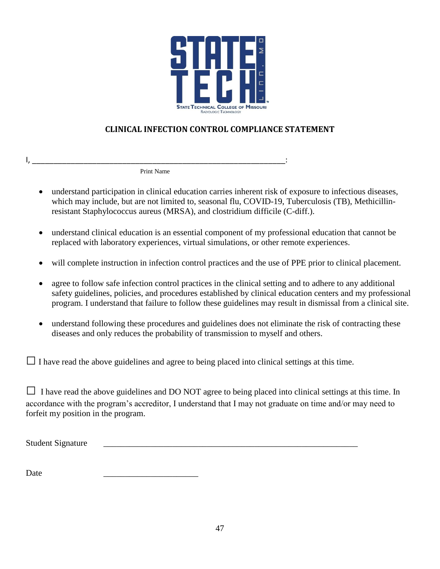

### **CLINICAL INFECTION CONTROL COMPLIANCE STATEMENT**

<span id="page-46-0"></span>I, \_\_\_\_\_\_\_\_\_\_\_\_\_\_\_\_\_\_\_\_\_\_\_\_\_\_\_\_\_\_\_\_\_\_\_\_\_\_\_\_\_\_\_\_\_\_\_\_\_\_\_\_\_\_\_\_\_\_\_: Print Name

- understand participation in clinical education carries inherent risk of exposure to infectious diseases, which may include, but are not limited to, seasonal flu, COVID-19, Tuberculosis (TB), Methicillinresistant Staphylococcus aureus (MRSA), and clostridium difficile (C-diff.).
- understand clinical education is an essential component of my professional education that cannot be replaced with laboratory experiences, virtual simulations, or other remote experiences.
- will complete instruction in infection control practices and the use of PPE prior to clinical placement.
- agree to follow safe infection control practices in the clinical setting and to adhere to any additional safety guidelines, policies, and procedures established by clinical education centers and my professional program. I understand that failure to follow these guidelines may result in dismissal from a clinical site.
- understand following these procedures and guidelines does not eliminate the risk of contracting these diseases and only reduces the probability of transmission to myself and others.

 $\Box$  I have read the above guidelines and agree to being placed into clinical settings at this time.

 $\Box$  I have read the above guidelines and DO NOT agree to being placed into clinical settings at this time. In accordance with the program's accreditor, I understand that I may not graduate on time and/or may need to forfeit my position in the program.

Student Signature

Date \_\_\_\_\_\_\_\_\_\_\_\_\_\_\_\_\_\_\_\_\_\_